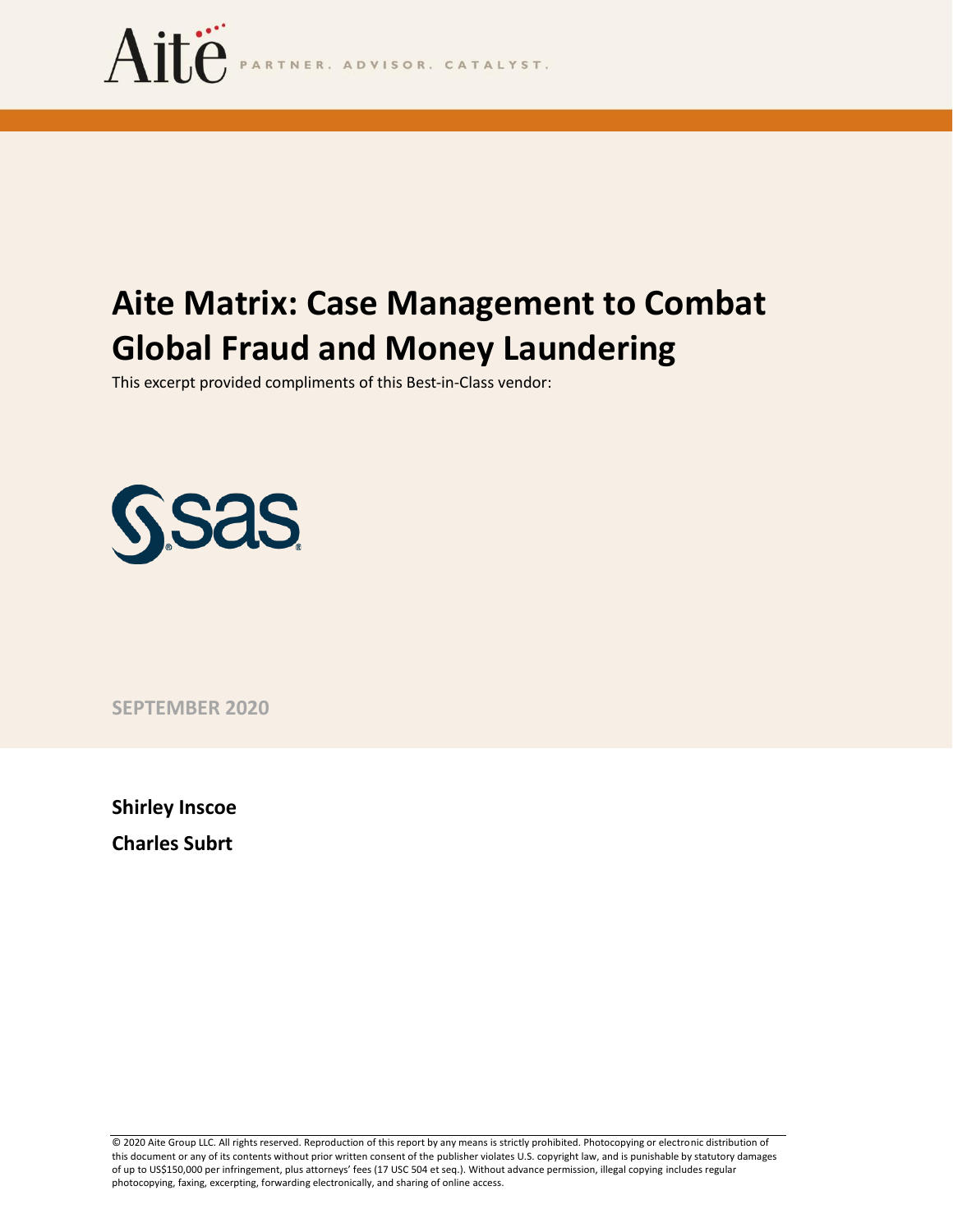

# **Aite Matrix: Case Management to Combat Global Fraud and Money Laundering**

This excerpt provided compliments of this Best-in-Class vendor:



**SEPTEMBER 2020**

**Shirley Inscoe Charles Subrt**

© 2020 Aite Group LLC. All rights reserved. Reproduction of this report by any means is strictly prohibited. Photocopying or electronic distribution of this document or any of its contents without prior written consent of the publisher violates U.S. copyright law, and is punishable by statutory damages of up to US\$150,000 per infringement, plus attorneys' fees (17 USC 504 et seq.). Without advance permission, illegal copying includes regular photocopying, faxing, excerpting, forwarding electronically, and sharing of online access.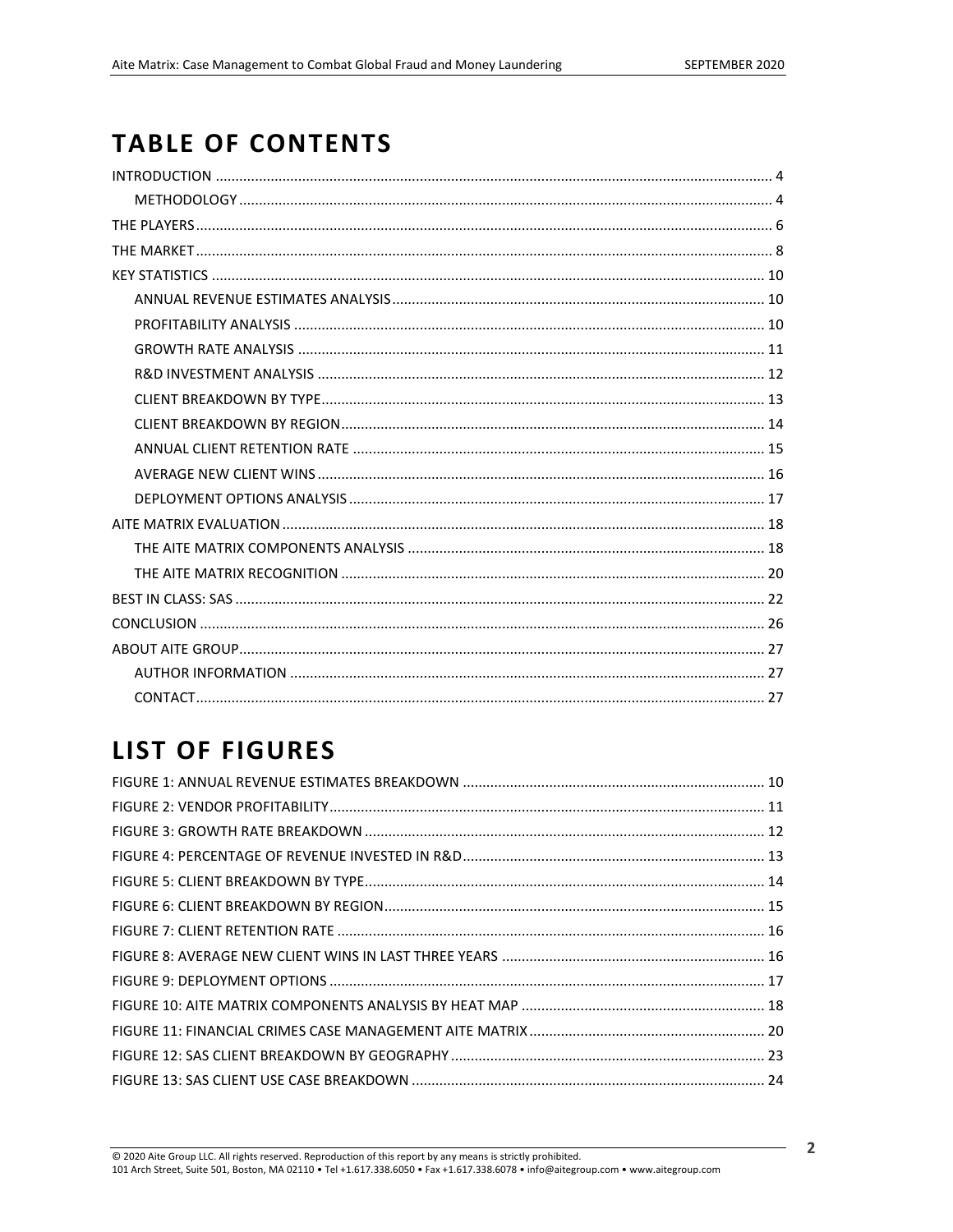## **TABLE OF CONTENTS**

## **LIST OF FIGURES**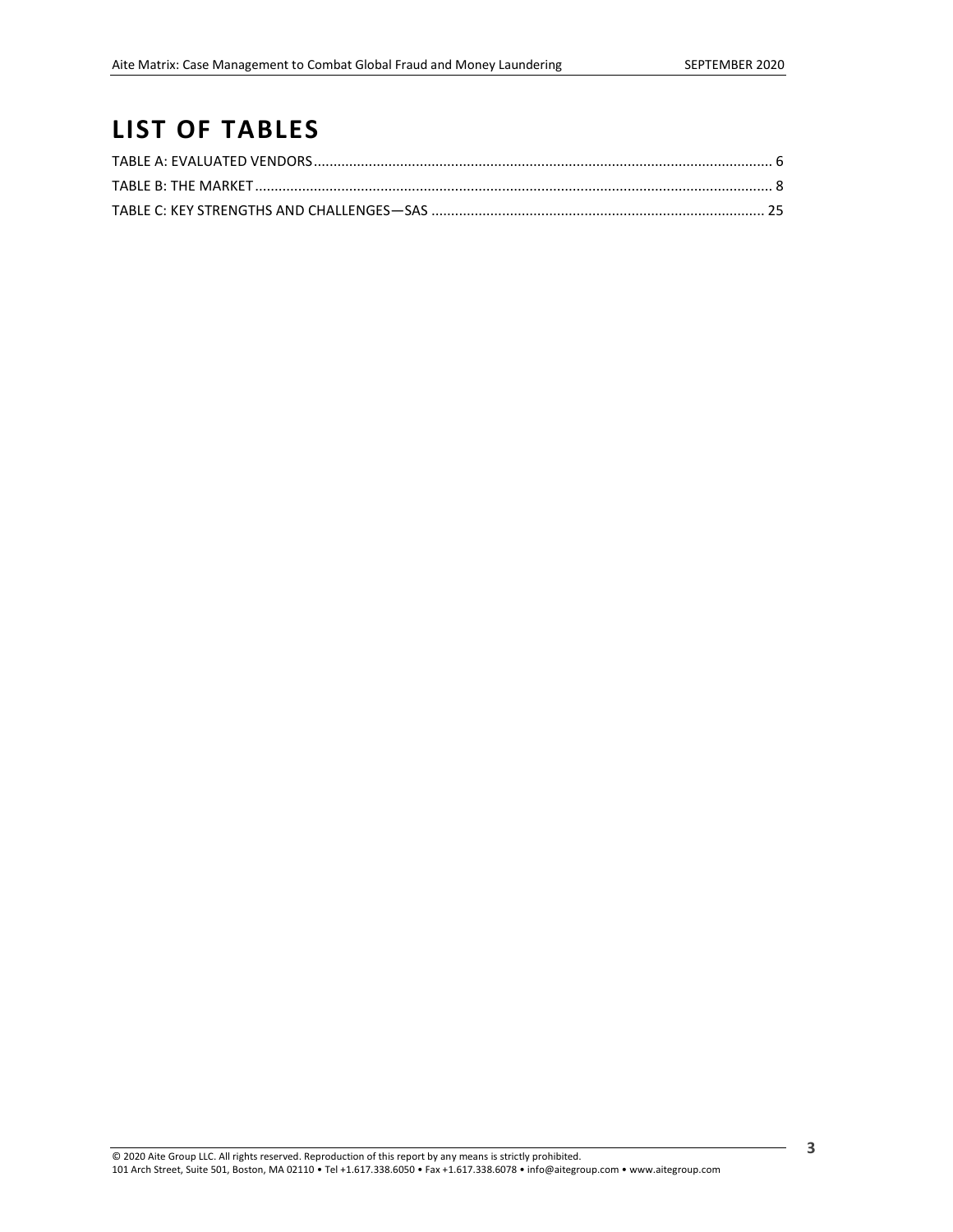## **LIST OF TABLES**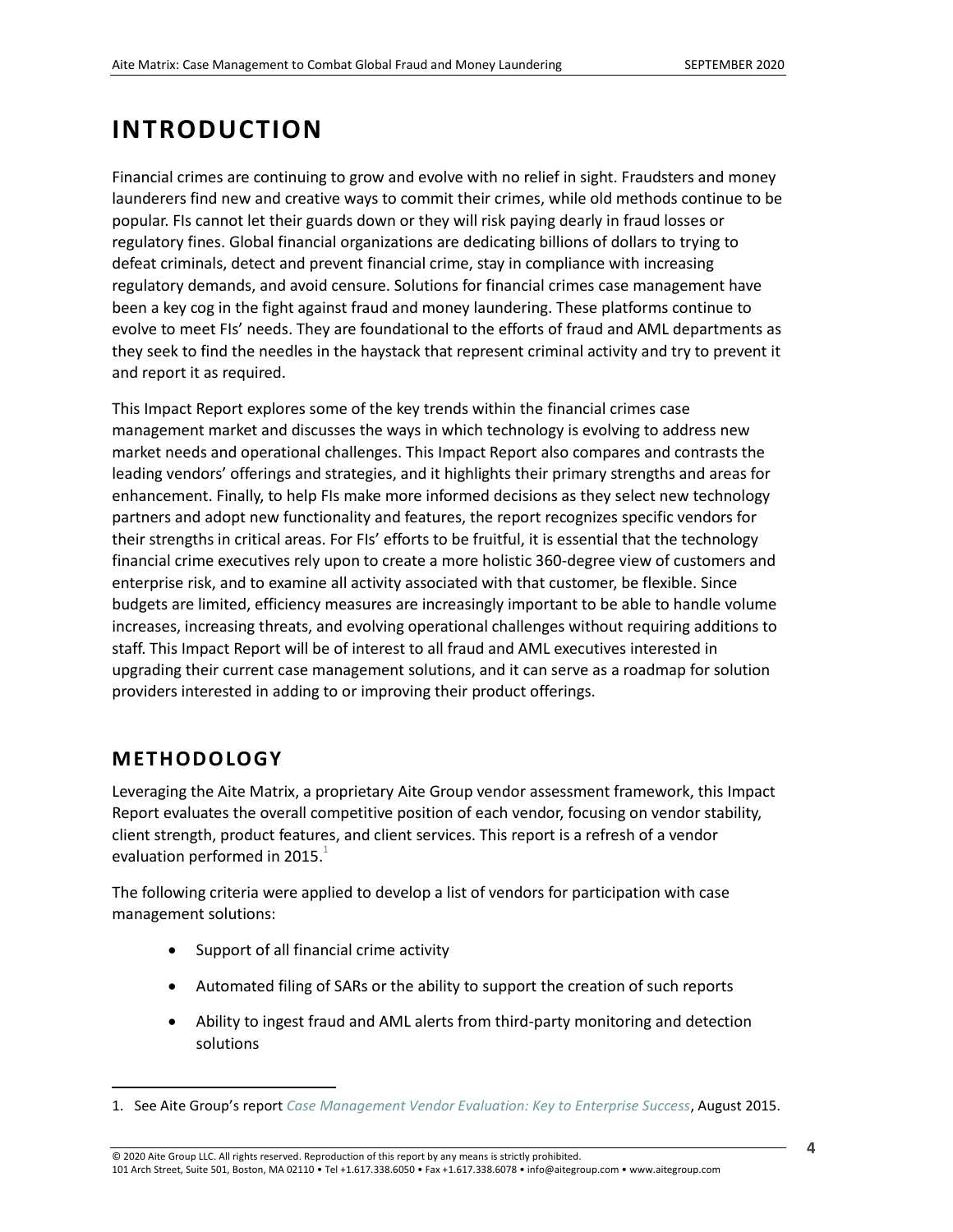## <span id="page-3-0"></span>**INTRODUCTION**

Financial crimes are continuing to grow and evolve with no relief in sight. Fraudsters and money launderers find new and creative ways to commit their crimes, while old methods continue to be popular. FIs cannot let their guards down or they will risk paying dearly in fraud losses or regulatory fines. Global financial organizations are dedicating billions of dollars to trying to defeat criminals, detect and prevent financial crime, stay in compliance with increasing regulatory demands, and avoid censure. Solutions for financial crimes case management have been a key cog in the fight against fraud and money laundering. These platforms continue to evolve to meet FIs' needs. They are foundational to the efforts of fraud and AML departments as they seek to find the needles in the haystack that represent criminal activity and try to prevent it and report it as required.

This Impact Report explores some of the key trends within the financial crimes case management market and discusses the ways in which technology is evolving to address new market needs and operational challenges. This Impact Report also compares and contrasts the leading vendors' offerings and strategies, and it highlights their primary strengths and areas for enhancement. Finally, to help FIs make more informed decisions as they select new technology partners and adopt new functionality and features, the report recognizes specific vendors for their strengths in critical areas. For FIs' efforts to be fruitful, it is essential that the technology financial crime executives rely upon to create a more holistic 360-degree view of customers and enterprise risk, and to examine all activity associated with that customer, be flexible. Since budgets are limited, efficiency measures are increasingly important to be able to handle volume increases, increasing threats, and evolving operational challenges without requiring additions to staff. This Impact Report will be of interest to all fraud and AML executives interested in upgrading their current case management solutions, and it can serve as a roadmap for solution providers interested in adding to or improving their product offerings.

### <span id="page-3-1"></span>**METHODOLOGY**

Leveraging the Aite Matrix, a proprietary Aite Group vendor assessment framework, this Impact Report evaluates the overall competitive position of each vendor, focusing on vendor stability, client strength, product features, and client services. This report is a refresh of a vendor evaluation performed in 2015. $^{1}$ 

The following criteria were applied to develop a list of vendors for participation with case management solutions:

- Support of all financial crime activity
- Automated filing of SARs or the ability to support the creation of such reports
- Ability to ingest fraud and AML alerts from third-party monitoring and detection solutions

<sup>1.</sup> See Aite Group's report *[Case Management Vendor Evaluation: Key to Enterprise Success](https://aitegroup.com/report/case-management-vendor-evaluation-key-enterprise-success)*, August 2015.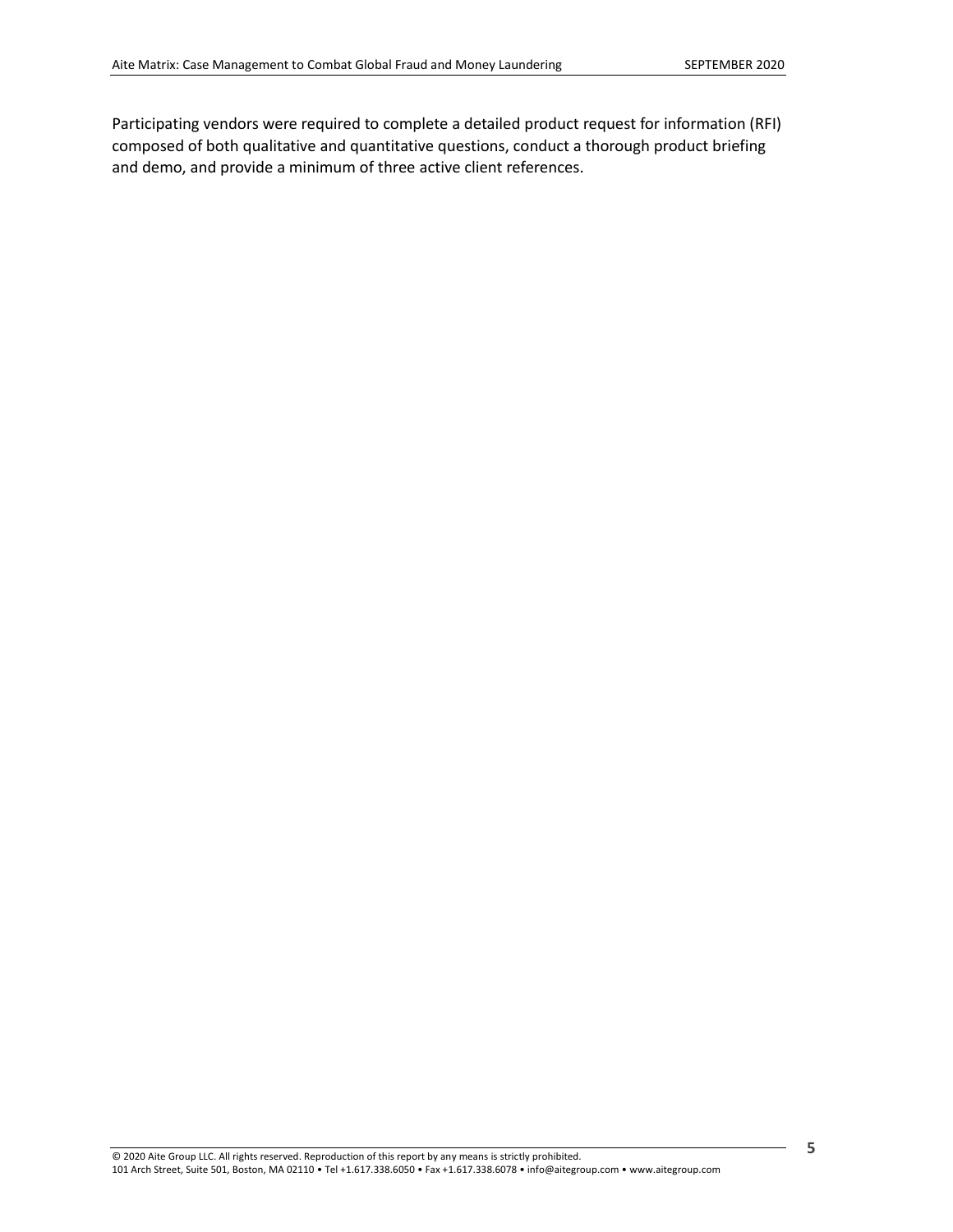Participating vendors were required to complete a detailed product request for information (RFI) composed of both qualitative and quantitative questions, conduct a thorough product briefing and demo, and provide a minimum of three active client references.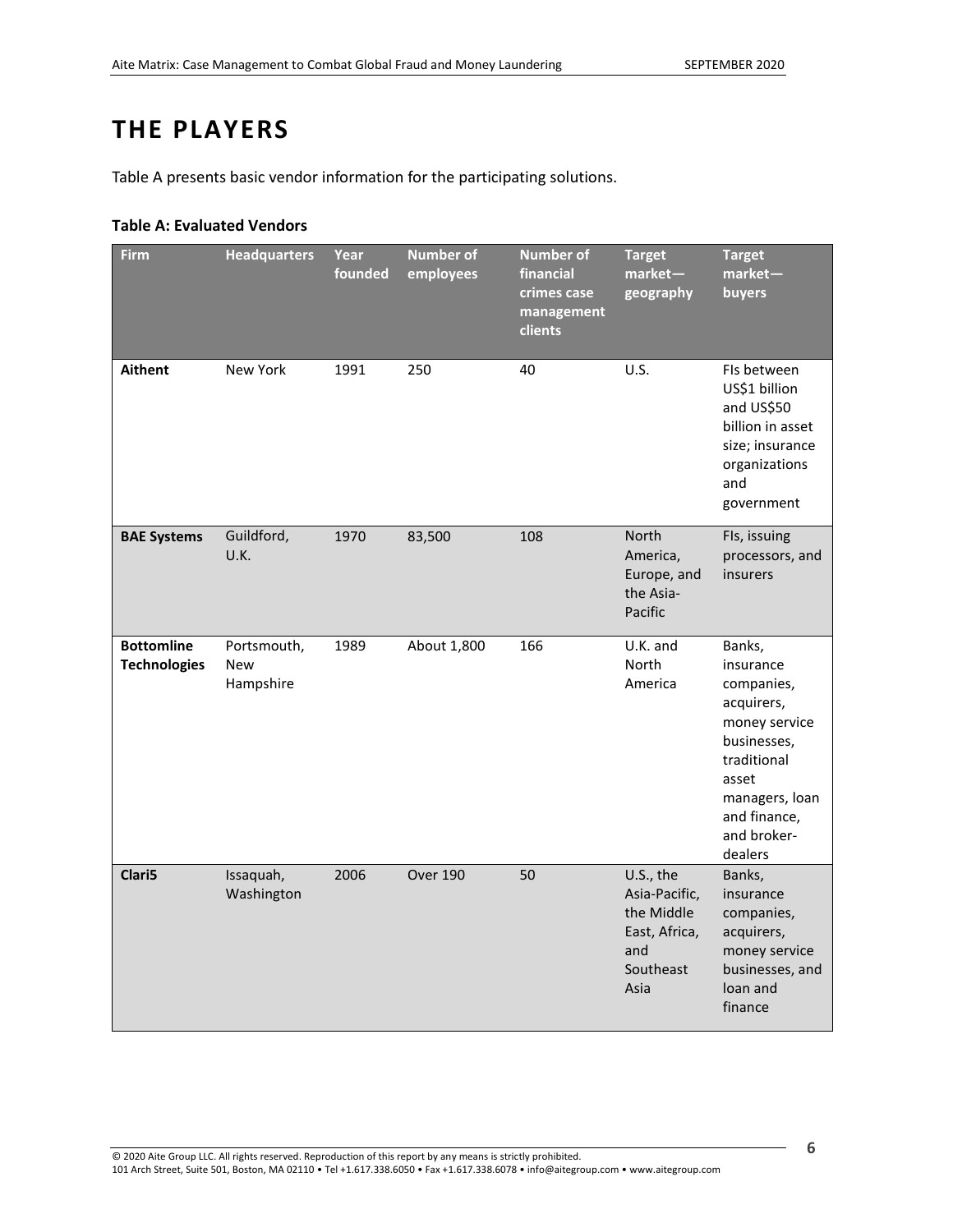## <span id="page-5-0"></span>**THE PLAYERS**

[Table A](#page-5-1) presents basic vendor information for the participating solutions.

### <span id="page-5-1"></span>**Table A: Evaluated Vendors**

| <b>Firm</b>                              | <b>Headquarters</b>             | Year<br>founded | <b>Number of</b><br>employees | <b>Number of</b><br>financial<br>crimes case<br>management<br>clients | <b>Target</b><br>market-<br>geography                                                 | <b>Target</b><br>market-<br>buyers                                                                                                                                  |
|------------------------------------------|---------------------------------|-----------------|-------------------------------|-----------------------------------------------------------------------|---------------------------------------------------------------------------------------|---------------------------------------------------------------------------------------------------------------------------------------------------------------------|
| <b>Aithent</b>                           | New York                        | 1991            | 250                           | 40                                                                    | U.S.                                                                                  | Fls between<br>US\$1 billion<br>and US\$50<br>billion in asset<br>size; insurance<br>organizations<br>and<br>government                                             |
| <b>BAE Systems</b>                       | Guildford,<br>U.K.              | 1970            | 83,500                        | 108                                                                   | <b>North</b><br>America,<br>Europe, and<br>the Asia-<br>Pacific                       | Fls, issuing<br>processors, and<br>insurers                                                                                                                         |
| <b>Bottomline</b><br><b>Technologies</b> | Portsmouth,<br>New<br>Hampshire | 1989            | About 1,800                   | 166                                                                   | U.K. and<br>North<br>America                                                          | Banks,<br>insurance<br>companies,<br>acquirers,<br>money service<br>businesses,<br>traditional<br>asset<br>managers, loan<br>and finance,<br>and broker-<br>dealers |
| Clari5                                   | Issaquah,<br>Washington         | 2006            | <b>Over 190</b>               | 50                                                                    | U.S., the<br>Asia-Pacific,<br>the Middle<br>East, Africa,<br>and<br>Southeast<br>Asia | Banks,<br>insurance<br>companies,<br>acquirers,<br>money service<br>businesses, and<br>loan and<br>finance                                                          |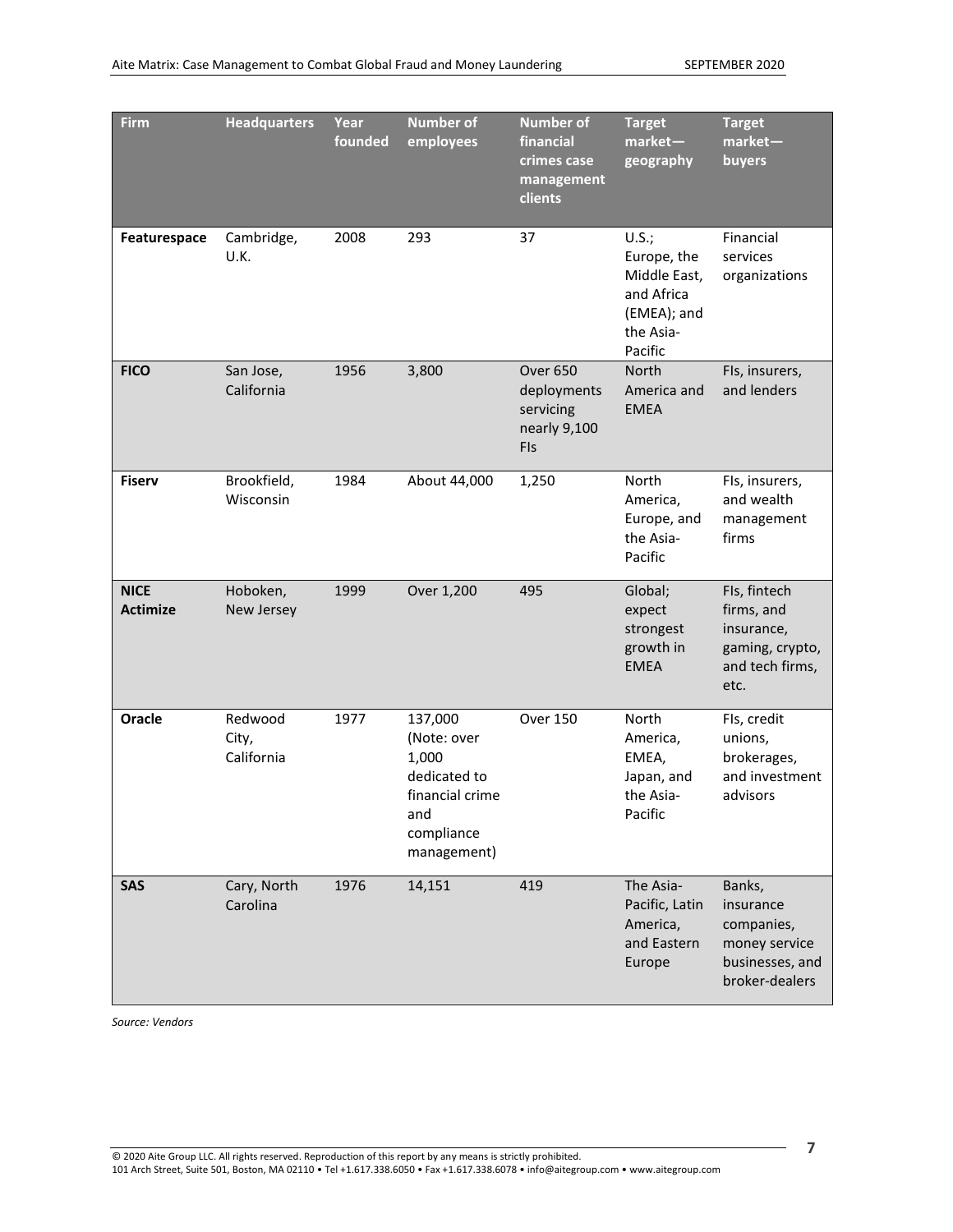| Firm                           | <b>Headquarters</b>            | Year<br>founded | <b>Number of</b><br>employees                                                                          | <b>Number of</b><br>financial<br>crimes case<br>management<br>clients | <b>Target</b><br>$market-$<br>geography                                                   | <b>Target</b><br>$market-$<br>buyers                                                    |
|--------------------------------|--------------------------------|-----------------|--------------------------------------------------------------------------------------------------------|-----------------------------------------------------------------------|-------------------------------------------------------------------------------------------|-----------------------------------------------------------------------------------------|
| Featurespace                   | Cambridge,<br>U.K.             | 2008            | 293                                                                                                    | 37                                                                    | U.S.;<br>Europe, the<br>Middle East,<br>and Africa<br>(EMEA); and<br>the Asia-<br>Pacific | Financial<br>services<br>organizations                                                  |
| <b>FICO</b>                    | San Jose,<br>California        | 1956            | 3,800                                                                                                  | <b>Over 650</b><br>deployments<br>servicing<br>nearly 9,100<br>FIs    | <b>North</b><br>America and<br><b>EMEA</b>                                                | Fls, insurers,<br>and lenders                                                           |
| <b>Fiserv</b>                  | Brookfield,<br>Wisconsin       | 1984            | About 44,000                                                                                           | 1,250                                                                 | <b>North</b><br>America,<br>Europe, and<br>the Asia-<br>Pacific                           | Fls, insurers,<br>and wealth<br>management<br>firms                                     |
| <b>NICE</b><br><b>Actimize</b> | Hoboken,<br>New Jersey         | 1999            | Over 1,200                                                                                             | 495                                                                   | Global;<br>expect<br>strongest<br>growth in<br><b>EMEA</b>                                | Fls, fintech<br>firms, and<br>insurance,<br>gaming, crypto,<br>and tech firms,<br>etc.  |
| Oracle                         | Redwood<br>City,<br>California | 1977            | 137,000<br>(Note: over<br>1,000<br>dedicated to<br>financial crime<br>and<br>compliance<br>management) | <b>Over 150</b>                                                       | <b>North</b><br>America,<br>EMEA,<br>Japan, and<br>the Asia-<br>Pacific                   | Fls, credit<br>unions,<br>brokerages,<br>and investment<br>advisors                     |
| SAS                            | Cary, North<br>Carolina        | 1976            | 14,151                                                                                                 | 419                                                                   | The Asia-<br>Pacific, Latin<br>America,<br>and Eastern<br>Europe                          | Banks,<br>insurance<br>companies,<br>money service<br>businesses, and<br>broker-dealers |

*Source: Vendors*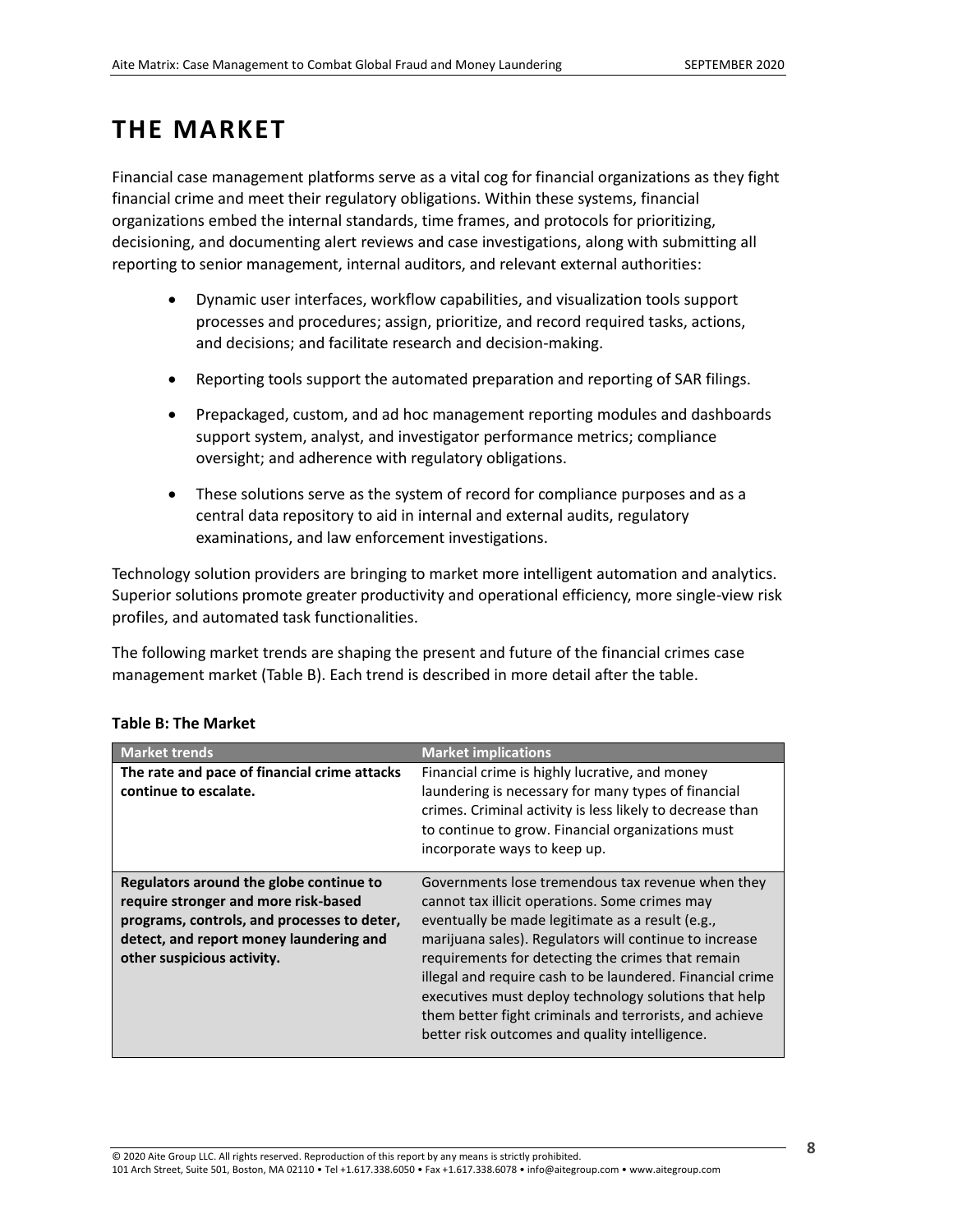## <span id="page-7-0"></span>**THE MARKET**

Financial case management platforms serve as a vital cog for financial organizations as they fight financial crime and meet their regulatory obligations. Within these systems, financial organizations embed the internal standards, time frames, and protocols for prioritizing, decisioning, and documenting alert reviews and case investigations, along with submitting all reporting to senior management, internal auditors, and relevant external authorities:

- Dynamic user interfaces, workflow capabilities, and visualization tools support processes and procedures; assign, prioritize, and record required tasks, actions, and decisions; and facilitate research and decision-making.
- Reporting tools support the automated preparation and reporting of SAR filings.
- Prepackaged, custom, and ad hoc management reporting modules and dashboards support system, analyst, and investigator performance metrics; compliance oversight; and adherence with regulatory obligations.
- These solutions serve as the system of record for compliance purposes and as a central data repository to aid in internal and external audits, regulatory examinations, and law enforcement investigations.

Technology solution providers are bringing to market more intelligent automation and analytics. Superior solutions promote greater productivity and operational efficiency, more single-view risk profiles, and automated task functionalities.

The following market trends are shaping the present and future of the financial crimes case management market (Table B). Each trend is described in more detail after the table.

| <b>Market trends</b>                                                                                                                                                                                    | <b>Market implications</b>                                                                                                                                                                                                                                                                                                                                                                                                                                                                                |
|---------------------------------------------------------------------------------------------------------------------------------------------------------------------------------------------------------|-----------------------------------------------------------------------------------------------------------------------------------------------------------------------------------------------------------------------------------------------------------------------------------------------------------------------------------------------------------------------------------------------------------------------------------------------------------------------------------------------------------|
| The rate and pace of financial crime attacks<br>continue to escalate.                                                                                                                                   | Financial crime is highly lucrative, and money<br>laundering is necessary for many types of financial<br>crimes. Criminal activity is less likely to decrease than<br>to continue to grow. Financial organizations must<br>incorporate ways to keep up.                                                                                                                                                                                                                                                   |
| Regulators around the globe continue to<br>require stronger and more risk-based<br>programs, controls, and processes to deter,<br>detect, and report money laundering and<br>other suspicious activity. | Governments lose tremendous tax revenue when they<br>cannot tax illicit operations. Some crimes may<br>eventually be made legitimate as a result (e.g.,<br>marijuana sales). Regulators will continue to increase<br>requirements for detecting the crimes that remain<br>illegal and require cash to be laundered. Financial crime<br>executives must deploy technology solutions that help<br>them better fight criminals and terrorists, and achieve<br>better risk outcomes and quality intelligence. |

### <span id="page-7-1"></span>**Table B: The Market**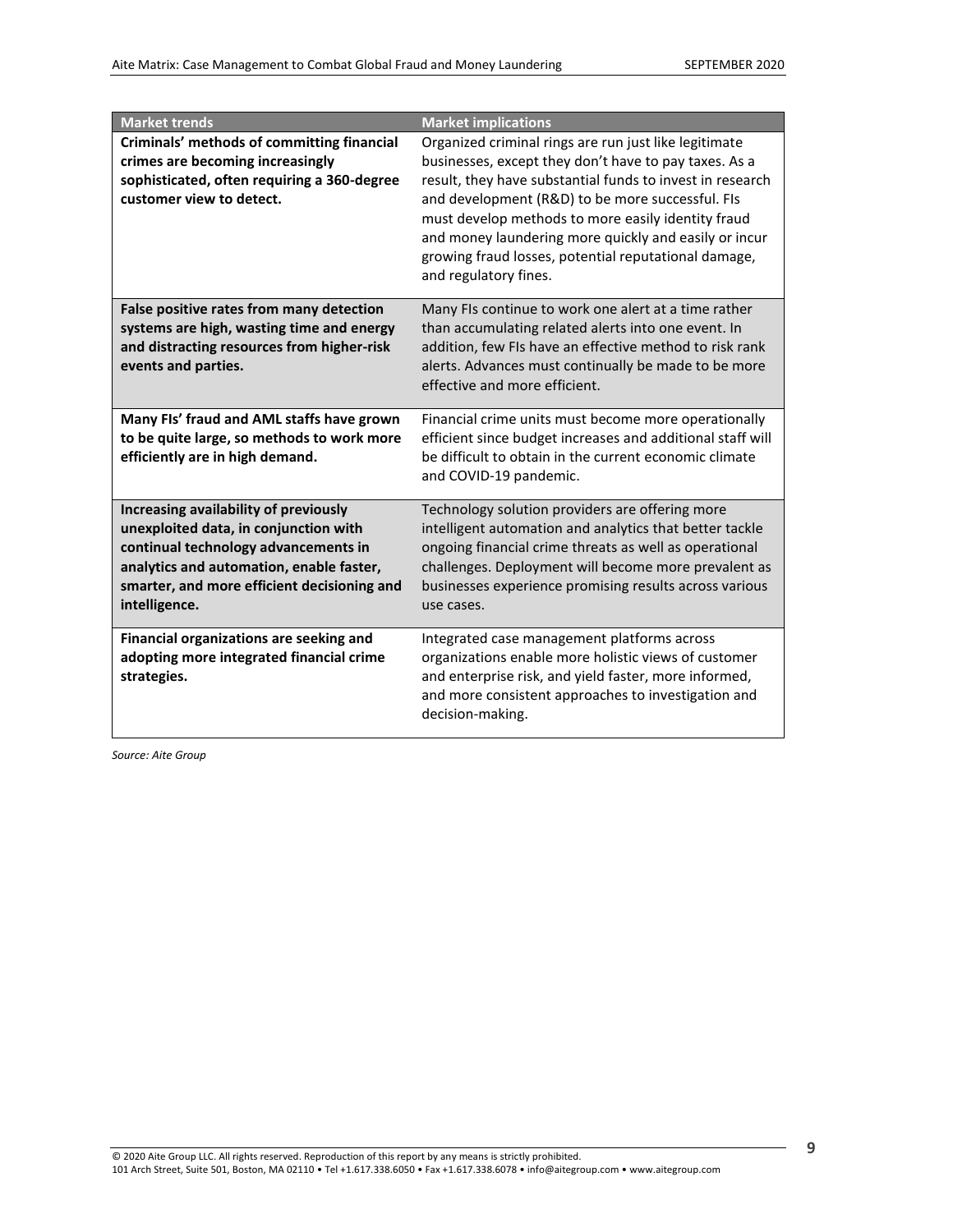| <b>Market trends</b>                                                                                                                                                                                                               | <b>Market implications</b>                                                                                                                                                                                                                                                                                                                                                                                                      |
|------------------------------------------------------------------------------------------------------------------------------------------------------------------------------------------------------------------------------------|---------------------------------------------------------------------------------------------------------------------------------------------------------------------------------------------------------------------------------------------------------------------------------------------------------------------------------------------------------------------------------------------------------------------------------|
| Criminals' methods of committing financial<br>crimes are becoming increasingly<br>sophisticated, often requiring a 360-degree<br>customer view to detect.                                                                          | Organized criminal rings are run just like legitimate<br>businesses, except they don't have to pay taxes. As a<br>result, they have substantial funds to invest in research<br>and development (R&D) to be more successful. FIs<br>must develop methods to more easily identity fraud<br>and money laundering more quickly and easily or incur<br>growing fraud losses, potential reputational damage,<br>and regulatory fines. |
| False positive rates from many detection<br>systems are high, wasting time and energy<br>and distracting resources from higher-risk<br>events and parties.                                                                         | Many FIs continue to work one alert at a time rather<br>than accumulating related alerts into one event. In<br>addition, few FIs have an effective method to risk rank<br>alerts. Advances must continually be made to be more<br>effective and more efficient.                                                                                                                                                                 |
| Many FIs' fraud and AML staffs have grown<br>to be quite large, so methods to work more<br>efficiently are in high demand.                                                                                                         | Financial crime units must become more operationally<br>efficient since budget increases and additional staff will<br>be difficult to obtain in the current economic climate<br>and COVID-19 pandemic.                                                                                                                                                                                                                          |
| Increasing availability of previously<br>unexploited data, in conjunction with<br>continual technology advancements in<br>analytics and automation, enable faster,<br>smarter, and more efficient decisioning and<br>intelligence. | Technology solution providers are offering more<br>intelligent automation and analytics that better tackle<br>ongoing financial crime threats as well as operational<br>challenges. Deployment will become more prevalent as<br>businesses experience promising results across various<br>use cases.                                                                                                                            |
| Financial organizations are seeking and<br>adopting more integrated financial crime<br>strategies.                                                                                                                                 | Integrated case management platforms across<br>organizations enable more holistic views of customer<br>and enterprise risk, and yield faster, more informed,<br>and more consistent approaches to investigation and<br>decision-making.                                                                                                                                                                                         |

*Source: Aite Group*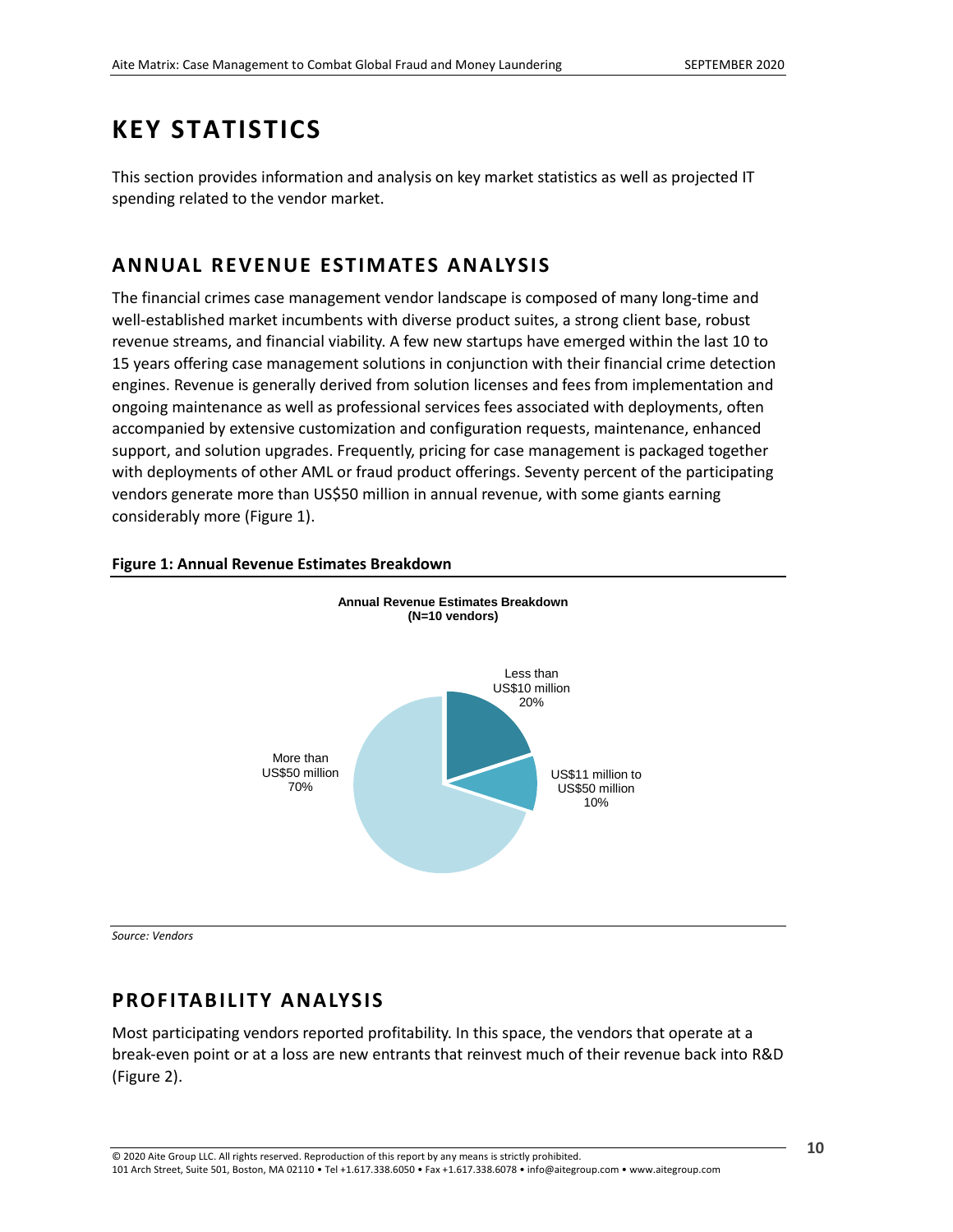## <span id="page-9-0"></span>**KEY STATISTICS**

This section provides information and analysis on key market statistics as well as projected IT spending related to the vendor market.

### <span id="page-9-1"></span>**ANNUAL REVENUE ESTIMATES ANALYSIS**

The financial crimes case management vendor landscape is composed of many long-time and well-established market incumbents with diverse product suites, a strong client base, robust revenue streams, and financial viability. A few new startups have emerged within the last 10 to 15 years offering case management solutions in conjunction with their financial crime detection engines. Revenue is generally derived from solution licenses and fees from implementation and ongoing maintenance as well as professional services fees associated with deployments, often accompanied by extensive customization and configuration requests, maintenance, enhanced support, and solution upgrades. Frequently, pricing for case management is packaged together with deployments of other AML or fraud product offerings. Seventy percent of the participating vendors generate more than US\$50 million in annual revenue, with some giants earning considerably more (Figure 1).



### <span id="page-9-3"></span>**Figure 1: Annual Revenue Estimates Breakdown**

*Source: Vendors*

### <span id="page-9-2"></span>**PROFITABILITY ANALYSIS**

Most participating vendors reported profitability. In this space, the vendors that operate at a break-even point or at a loss are new entrants that reinvest much of their revenue back into R&D (Figure 2).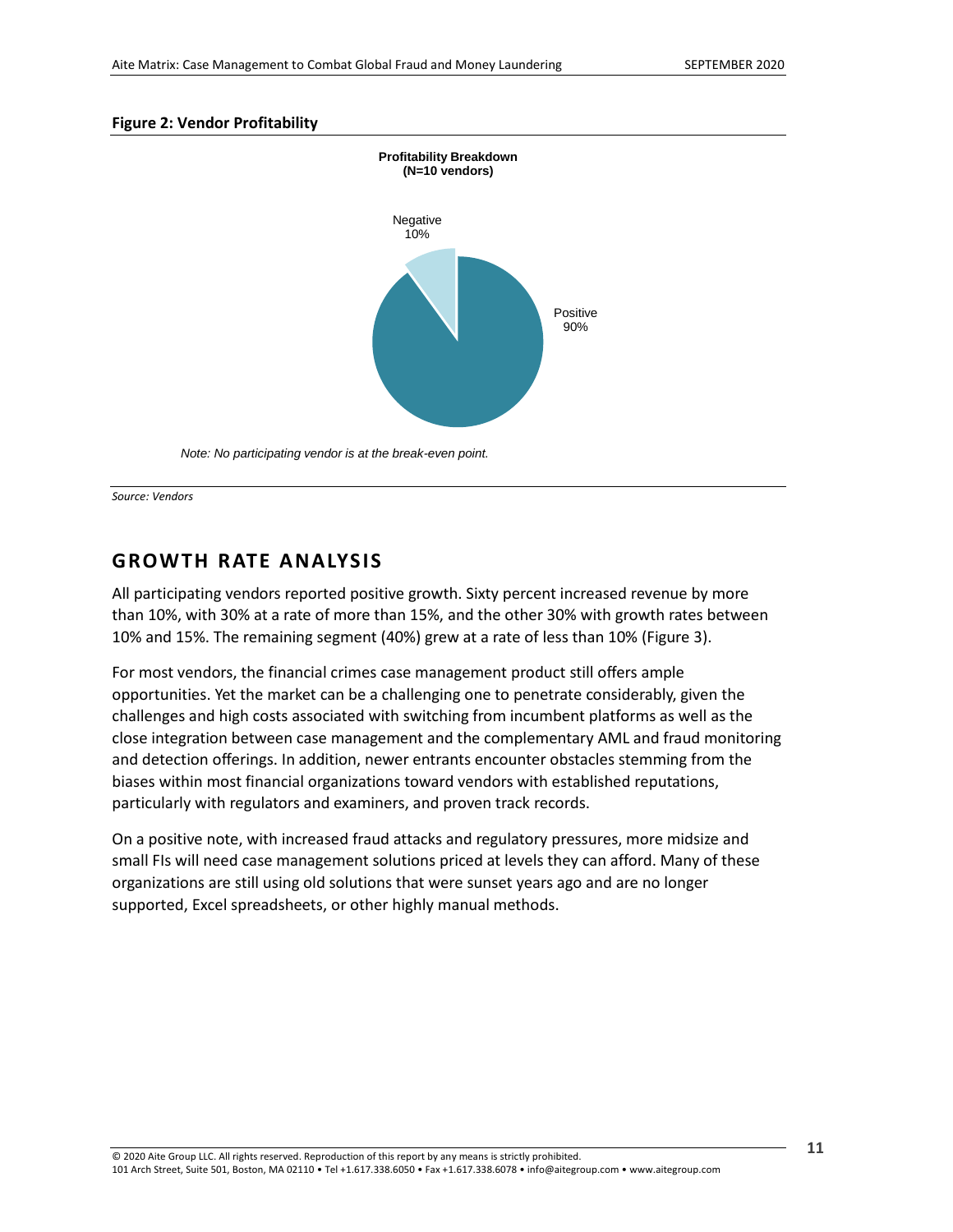#### <span id="page-10-1"></span>**Figure 2: Vendor Profitability**



*Note: No participating vendor is at the break-even point.*

*Source: Vendors*

### <span id="page-10-0"></span>**GROWTH RATE ANALYSIS**

All participating vendors reported positive growth. Sixty percent increased revenue by more than 10%, with 30% at a rate of more than 15%, and the other 30% with growth rates between 10% and 15%. The remaining segment (40%) grew at a rate of less than 10% (Figure 3).

For most vendors, the financial crimes case management product still offers ample opportunities. Yet the market can be a challenging one to penetrate considerably, given the challenges and high costs associated with switching from incumbent platforms as well as the close integration between case management and the complementary AML and fraud monitoring and detection offerings. In addition, newer entrants encounter obstacles stemming from the biases within most financial organizations toward vendors with established reputations, particularly with regulators and examiners, and proven track records.

On a positive note, with increased fraud attacks and regulatory pressures, more midsize and small FIs will need case management solutions priced at levels they can afford. Many of these organizations are still using old solutions that were sunset years ago and are no longer supported, Excel spreadsheets, or other highly manual methods.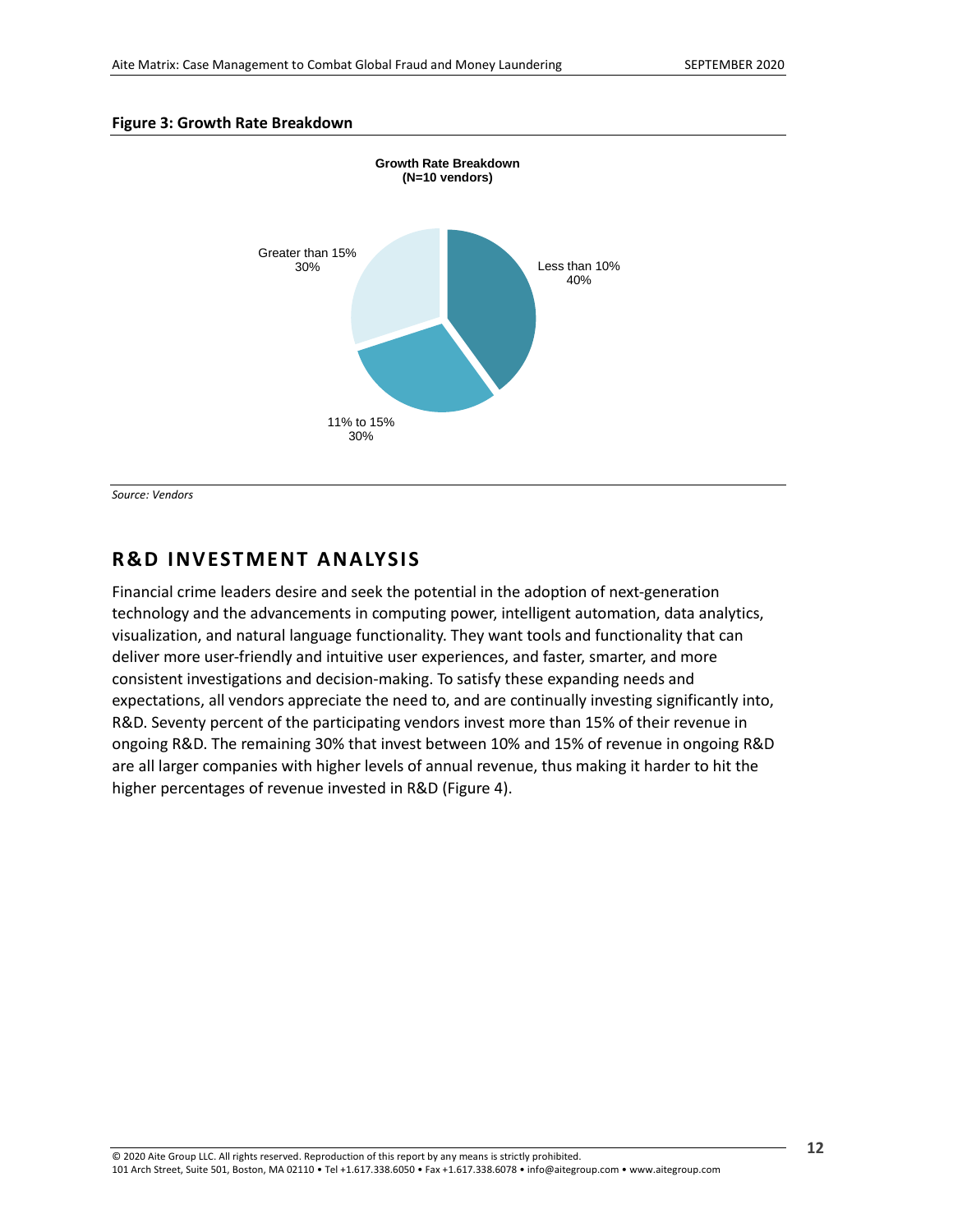#### <span id="page-11-1"></span>**Figure 3: Growth Rate Breakdown**



*Source: Vendors*

### <span id="page-11-0"></span>**R&D INVESTMENT ANALYSIS**

Financial crime leaders desire and seek the potential in the adoption of next-generation technology and the advancements in computing power, intelligent automation, data analytics, visualization, and natural language functionality. They want tools and functionality that can deliver more user-friendly and intuitive user experiences, and faster, smarter, and more consistent investigations and decision-making. To satisfy these expanding needs and expectations, all vendors appreciate the need to, and are continually investing significantly into, R&D. Seventy percent of the participating vendors invest more than 15% of their revenue in ongoing R&D. The remaining 30% that invest between 10% and 15% of revenue in ongoing R&D are all larger companies with higher levels of annual revenue, thus making it harder to hit the higher percentages of revenue invested in R&D (Figure 4).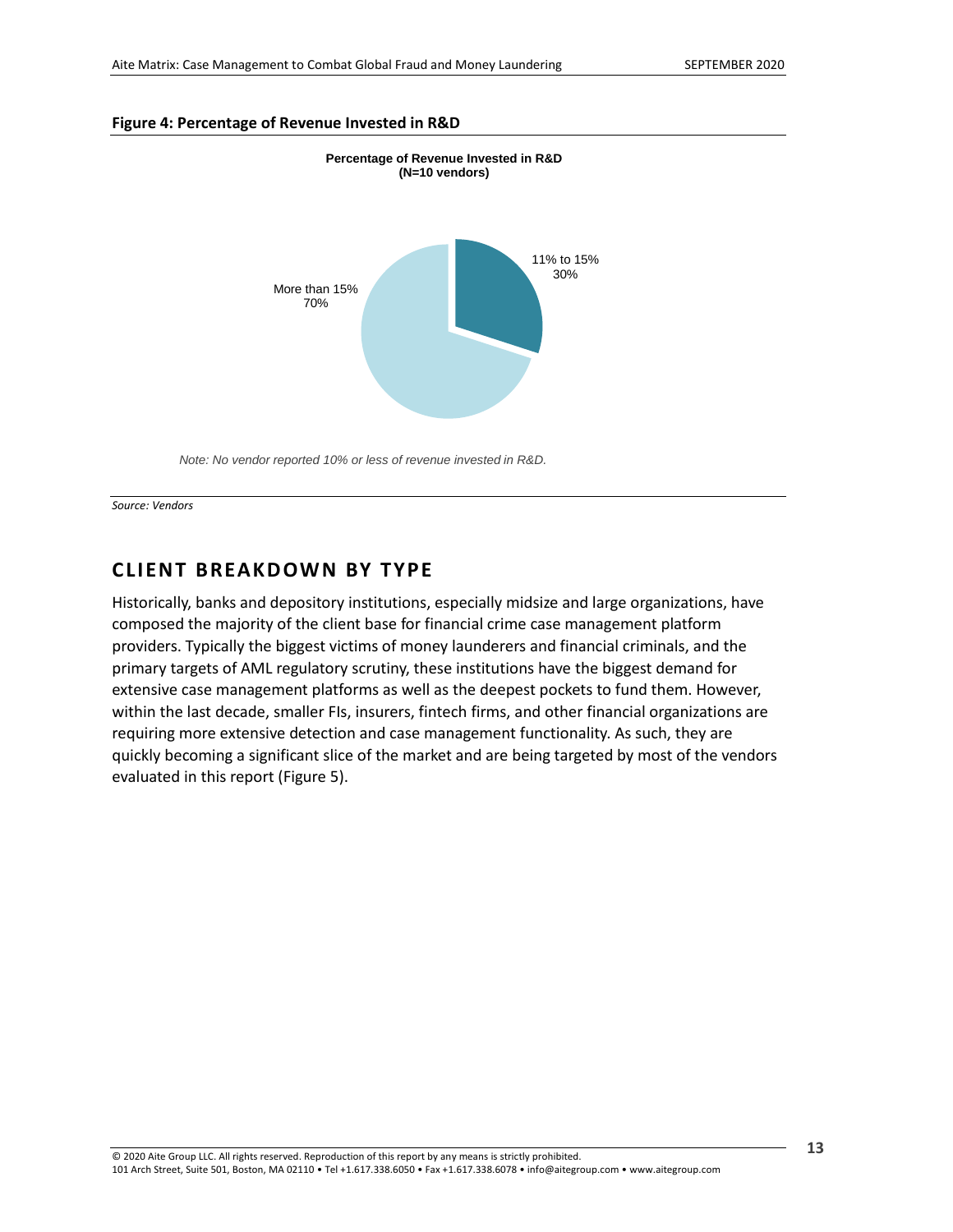#### <span id="page-12-1"></span>**Figure 4: Percentage of Revenue Invested in R&D**



*Note: No vendor reported 10% or less of revenue invested in R&D.*

*Source: Vendors*

### <span id="page-12-0"></span>**CLIENT BREAKDOWN BY TYPE**

Historically, banks and depository institutions, especially midsize and large organizations, have composed the majority of the client base for financial crime case management platform providers. Typically the biggest victims of money launderers and financial criminals, and the primary targets of AML regulatory scrutiny, these institutions have the biggest demand for extensive case management platforms as well as the deepest pockets to fund them. However, within the last decade, smaller FIs, insurers, fintech firms, and other financial organizations are requiring more extensive detection and case management functionality. As such, they are quickly becoming a significant slice of the market and are being targeted by most of the vendors evaluated in this report (Figure 5).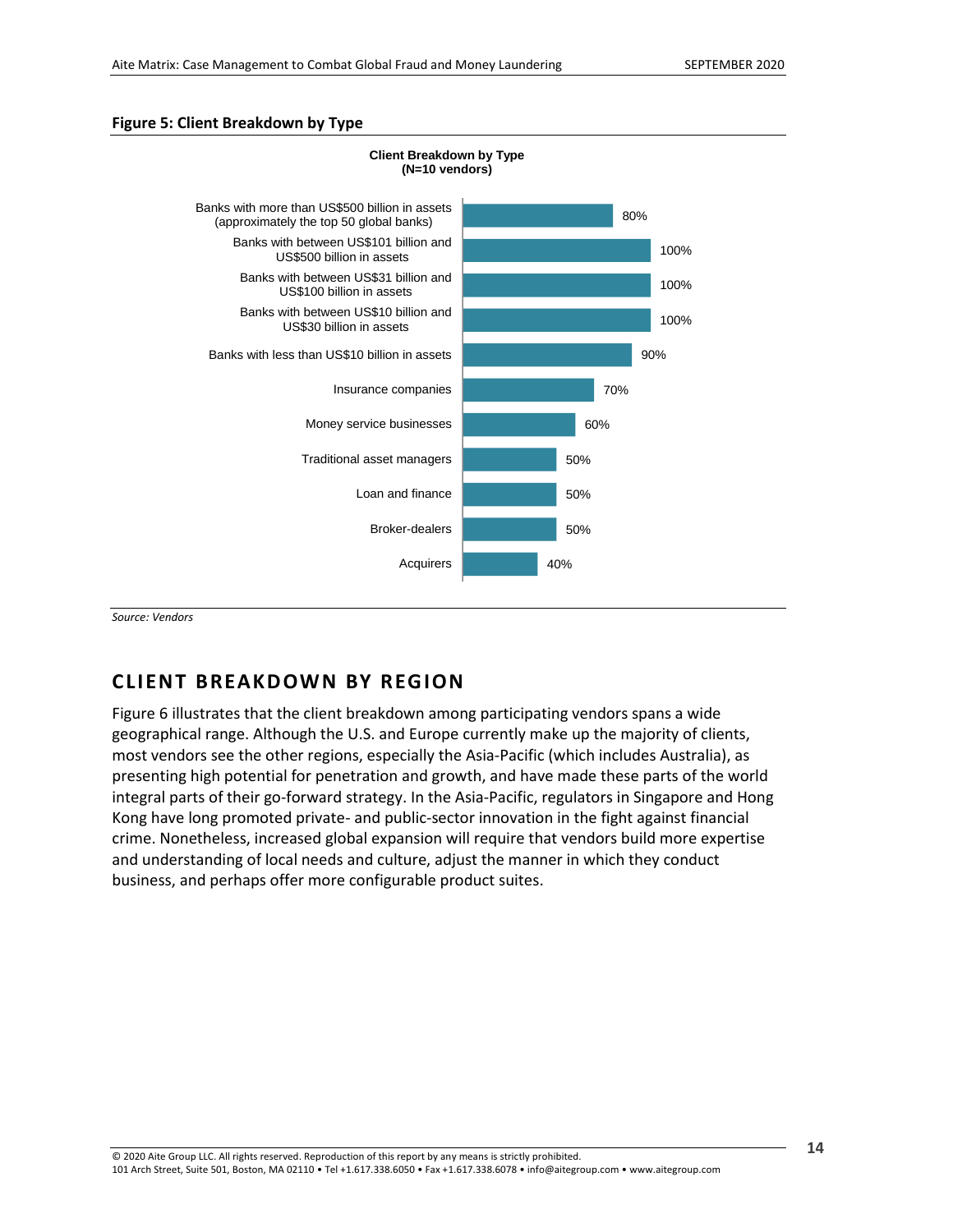#### <span id="page-13-1"></span>**Figure 5: Client Breakdown by Type**



*Source: Vendors*

### <span id="page-13-0"></span>**CLIENT BREAKDOWN BY REG ION**

Figure 6 illustrates that the client breakdown among participating vendors spans a wide geographical range. Although the U.S. and Europe currently make up the majority of clients, most vendors see the other regions, especially the Asia-Pacific (which includes Australia), as presenting high potential for penetration and growth, and have made these parts of the world integral parts of their go-forward strategy. In the Asia-Pacific, regulators in Singapore and Hong Kong have long promoted private- and public-sector innovation in the fight against financial crime. Nonetheless, increased global expansion will require that vendors build more expertise and understanding of local needs and culture, adjust the manner in which they conduct business, and perhaps offer more configurable product suites.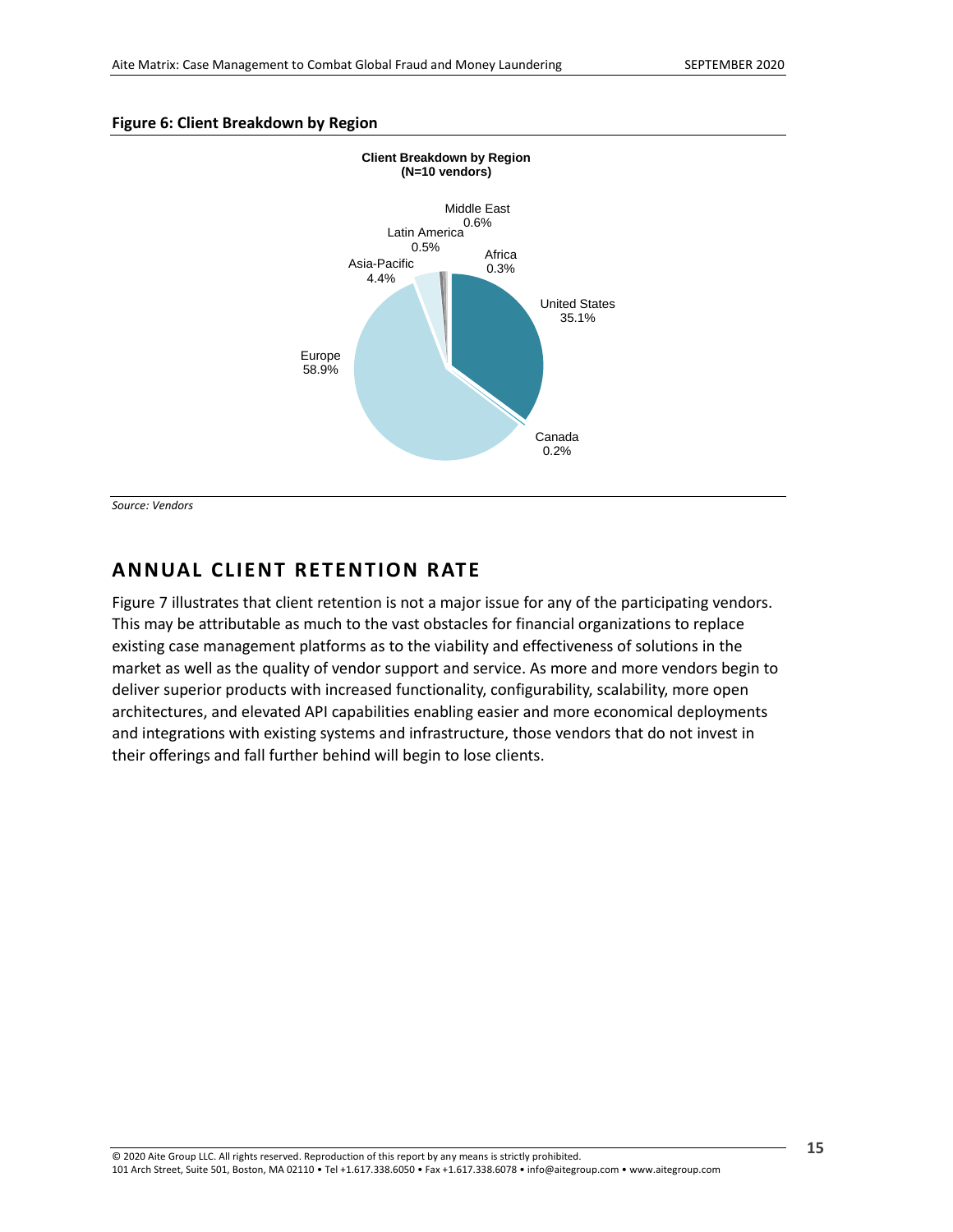<span id="page-14-1"></span>



*Source: Vendors*

### <span id="page-14-0"></span>**ANNUAL CLIENT RETENTION RATE**

Figure 7 illustrates that client retention is not a major issue for any of the participating vendors. This may be attributable as much to the vast obstacles for financial organizations to replace existing case management platforms as to the viability and effectiveness of solutions in the market as well as the quality of vendor support and service. As more and more vendors begin to deliver superior products with increased functionality, configurability, scalability, more open architectures, and elevated API capabilities enabling easier and more economical deployments and integrations with existing systems and infrastructure, those vendors that do not invest in their offerings and fall further behind will begin to lose clients.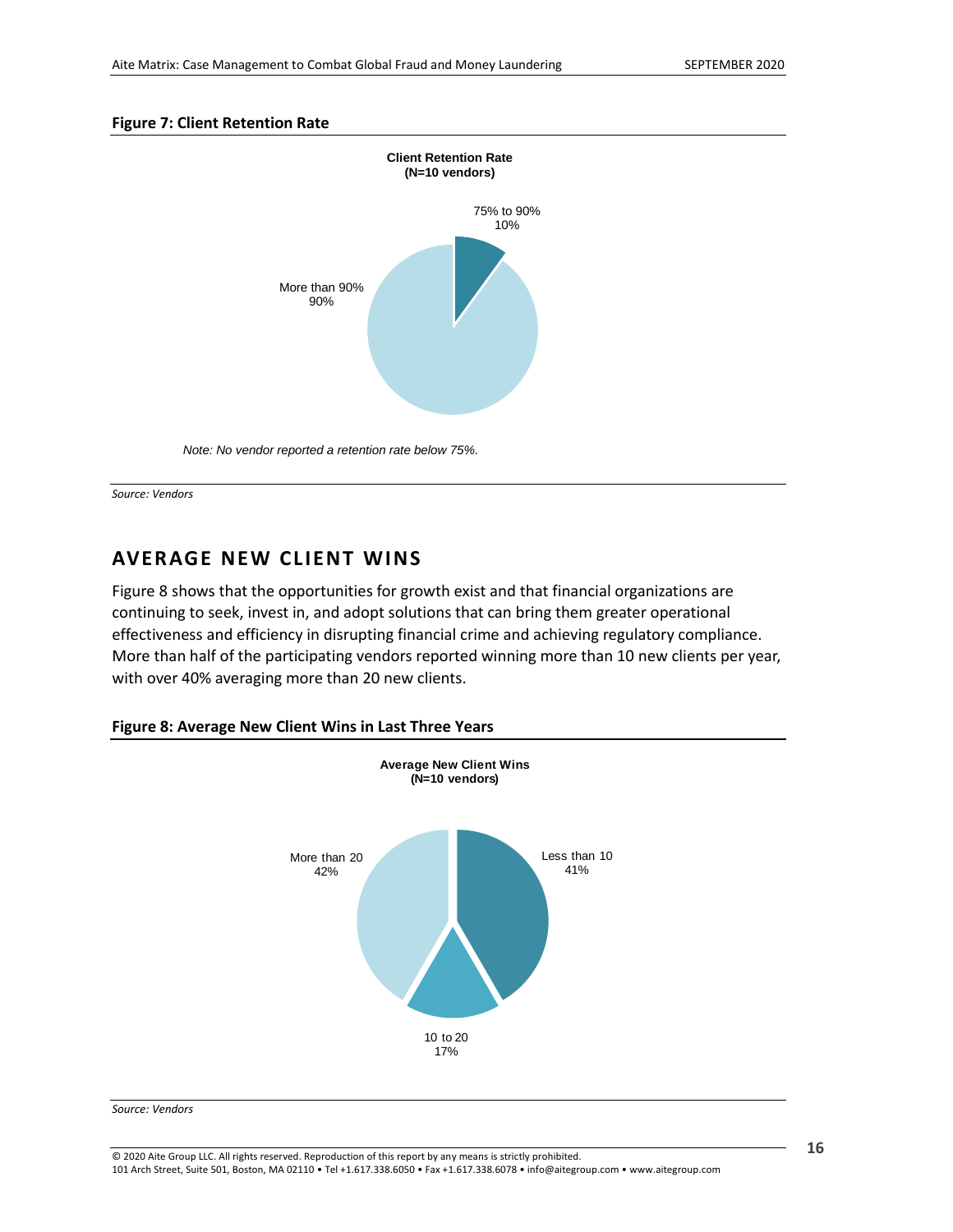### <span id="page-15-1"></span>**Figure 7: Client Retention Rate**



*Note: No vendor reported a retention rate below 75%.*

*Source: Vendors*

### <span id="page-15-0"></span>**AVERAGE NEW CLIENT WINS**

Figure 8 shows that the opportunities for growth exist and that financial organizations are continuing to seek, invest in, and adopt solutions that can bring them greater operational effectiveness and efficiency in disrupting financial crime and achieving regulatory compliance. More than half of the participating vendors reported winning more than 10 new clients per year, with over 40% averaging more than 20 new clients.

### <span id="page-15-2"></span>**Figure 8: Average New Client Wins in Last Three Years**



#### *Source: Vendors*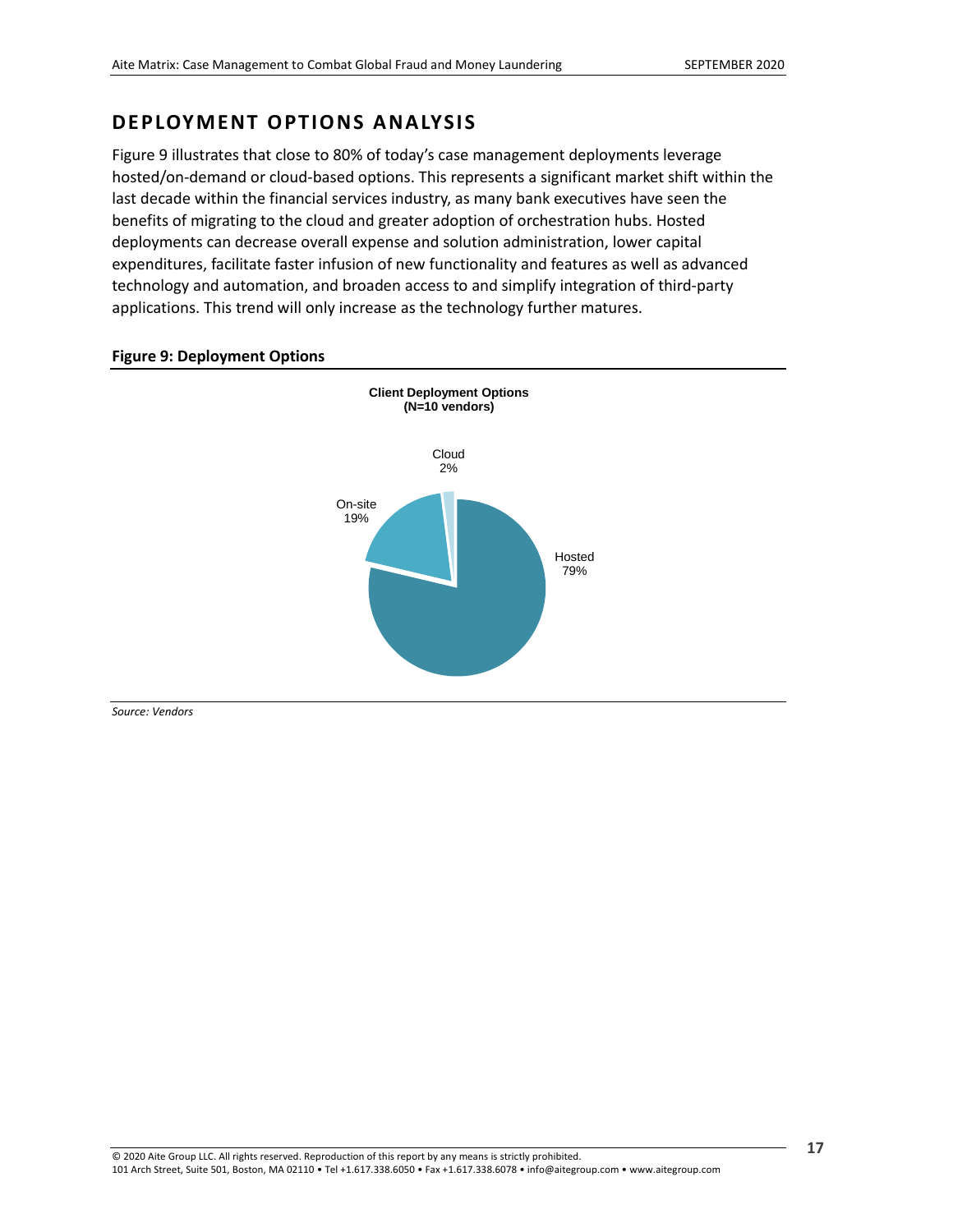### <span id="page-16-0"></span>**DEPLOYMENT OPTIONS ANALYSIS**

Figure 9 illustrates that close to 80% of today's case management deployments leverage hosted/on-demand or cloud-based options. This represents a significant market shift within the last decade within the financial services industry, as many bank executives have seen the benefits of migrating to the cloud and greater adoption of orchestration hubs. Hosted deployments can decrease overall expense and solution administration, lower capital expenditures, facilitate faster infusion of new functionality and features as well as advanced technology and automation, and broaden access to and simplify integration of third-party applications. This trend will only increase as the technology further matures.



### <span id="page-16-1"></span>Figure 9: Deployment Options

*Source: Vendors*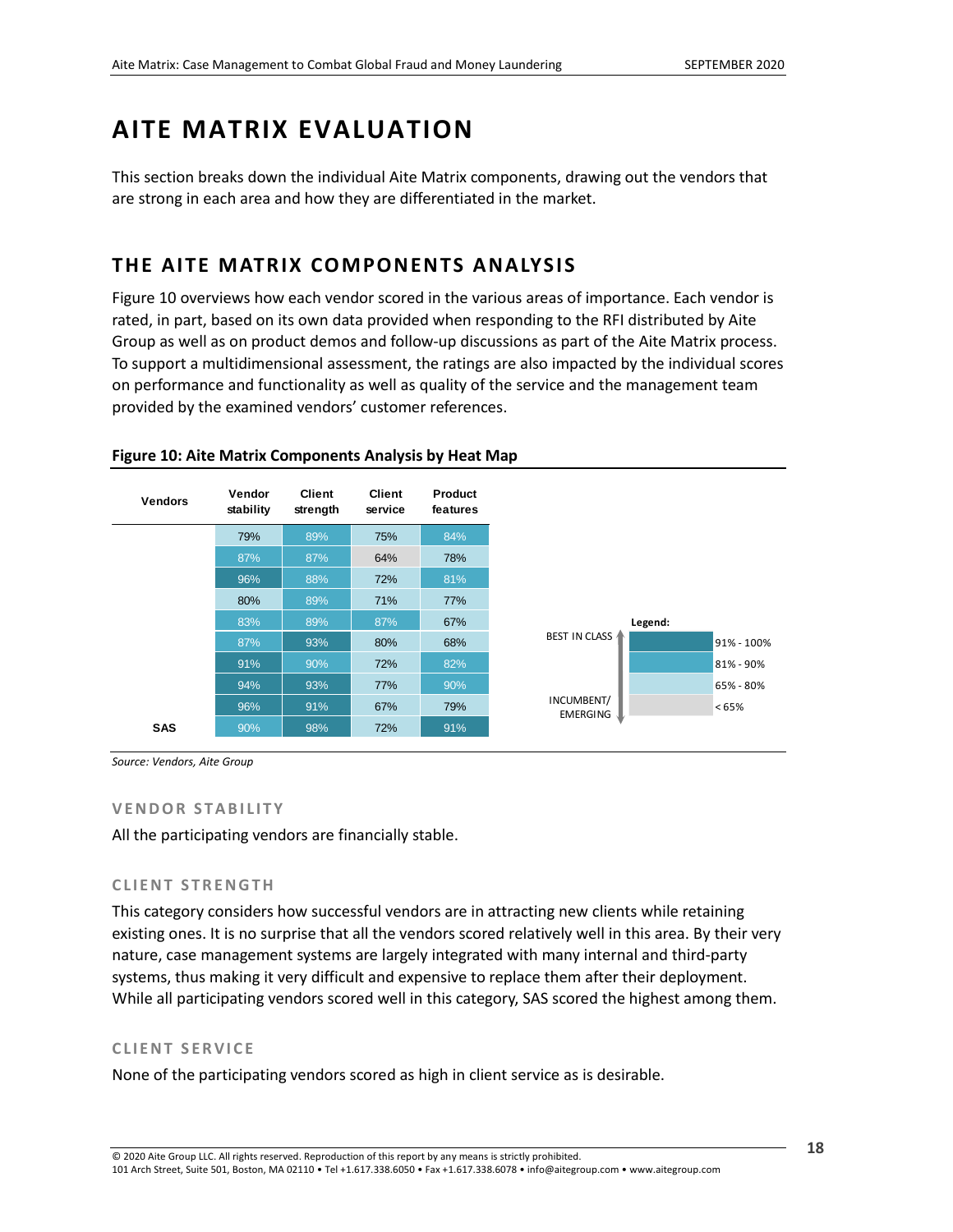## <span id="page-17-0"></span>**AITE MATRIX EVALUATION**

This section breaks down the individual Aite Matrix components, drawing out the vendors that are strong in each area and how they are differentiated in the market.

### <span id="page-17-1"></span>**THE AITE MATRIX COMPONENTS ANALYSIS**

[Figure 10](#page-17-2) overviews how each vendor scored in the various areas of importance. Each vendor is rated, in part, based on its own data provided when responding to the RFI distributed by Aite Group as well as on product demos and follow-up discussions as part of the Aite Matrix process. To support a multidimensional assessment, the ratings are also impacted by the individual scores on performance and functionality as well as quality of the service and the management team provided by the examined vendors' customer references.



### <span id="page-17-2"></span>**Figure 10: Aite Matrix Components Analysis by Heat Map**

*Source: Vendors, Aite Group*

### **V E N D O R S T A B I L I T Y**

All the participating vendors are financially stable.

### **C L I E N T S T R E N G T H**

This category considers how successful vendors are in attracting new clients while retaining existing ones. It is no surprise that all the vendors scored relatively well in this area. By their very nature, case management systems are largely integrated with many internal and third-party systems, thus making it very difficult and expensive to replace them after their deployment. While all participating vendors scored well in this category, SAS scored the highest among them.

### **C L I E N T S E R V I C E**

None of the participating vendors scored as high in client service as is desirable.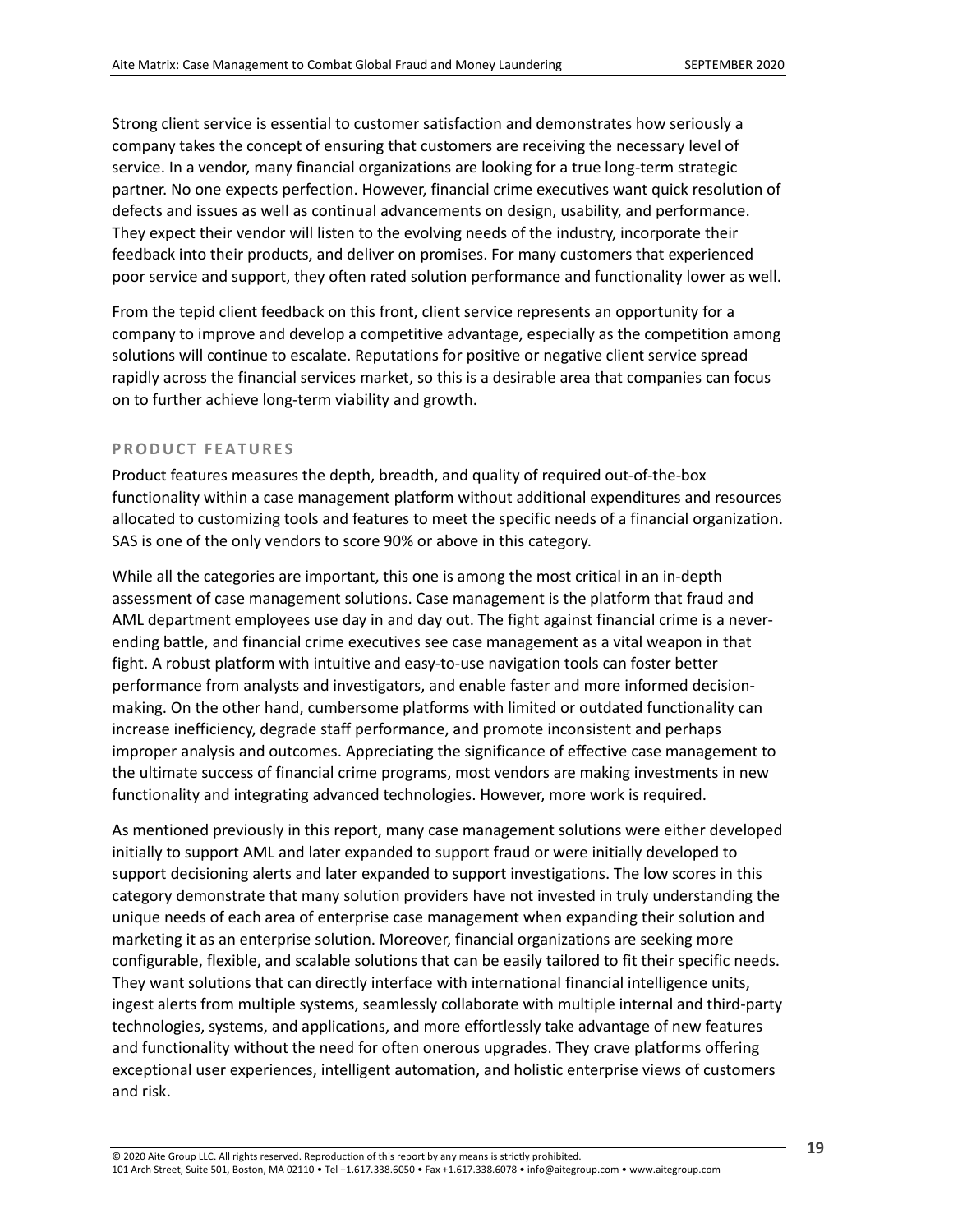Strong client service is essential to customer satisfaction and demonstrates how seriously a company takes the concept of ensuring that customers are receiving the necessary level of service. In a vendor, many financial organizations are looking for a true long-term strategic partner. No one expects perfection. However, financial crime executives want quick resolution of defects and issues as well as continual advancements on design, usability, and performance. They expect their vendor will listen to the evolving needs of the industry, incorporate their feedback into their products, and deliver on promises. For many customers that experienced poor service and support, they often rated solution performance and functionality lower as well.

From the tepid client feedback on this front, client service represents an opportunity for a company to improve and develop a competitive advantage, especially as the competition among solutions will continue to escalate. Reputations for positive or negative client service spread rapidly across the financial services market, so this is a desirable area that companies can focus on to further achieve long-term viability and growth.

### **PRODUCT FEATURES**

Product features measures the depth, breadth, and quality of required out-of-the-box functionality within a case management platform without additional expenditures and resources allocated to customizing tools and features to meet the specific needs of a financial organization. SAS is one of the only vendors to score 90% or above in this category.

While all the categories are important, this one is among the most critical in an in-depth assessment of case management solutions. Case management is the platform that fraud and AML department employees use day in and day out. The fight against financial crime is a neverending battle, and financial crime executives see case management as a vital weapon in that fight. A robust platform with intuitive and easy-to-use navigation tools can foster better performance from analysts and investigators, and enable faster and more informed decisionmaking. On the other hand, cumbersome platforms with limited or outdated functionality can increase inefficiency, degrade staff performance, and promote inconsistent and perhaps improper analysis and outcomes. Appreciating the significance of effective case management to the ultimate success of financial crime programs, most vendors are making investments in new functionality and integrating advanced technologies. However, more work is required.

As mentioned previously in this report, many case management solutions were either developed initially to support AML and later expanded to support fraud or were initially developed to support decisioning alerts and later expanded to support investigations. The low scores in this category demonstrate that many solution providers have not invested in truly understanding the unique needs of each area of enterprise case management when expanding their solution and marketing it as an enterprise solution. Moreover, financial organizations are seeking more configurable, flexible, and scalable solutions that can be easily tailored to fit their specific needs. They want solutions that can directly interface with international financial intelligence units, ingest alerts from multiple systems, seamlessly collaborate with multiple internal and third-party technologies, systems, and applications, and more effortlessly take advantage of new features and functionality without the need for often onerous upgrades. They crave platforms offering exceptional user experiences, intelligent automation, and holistic enterprise views of customers and risk.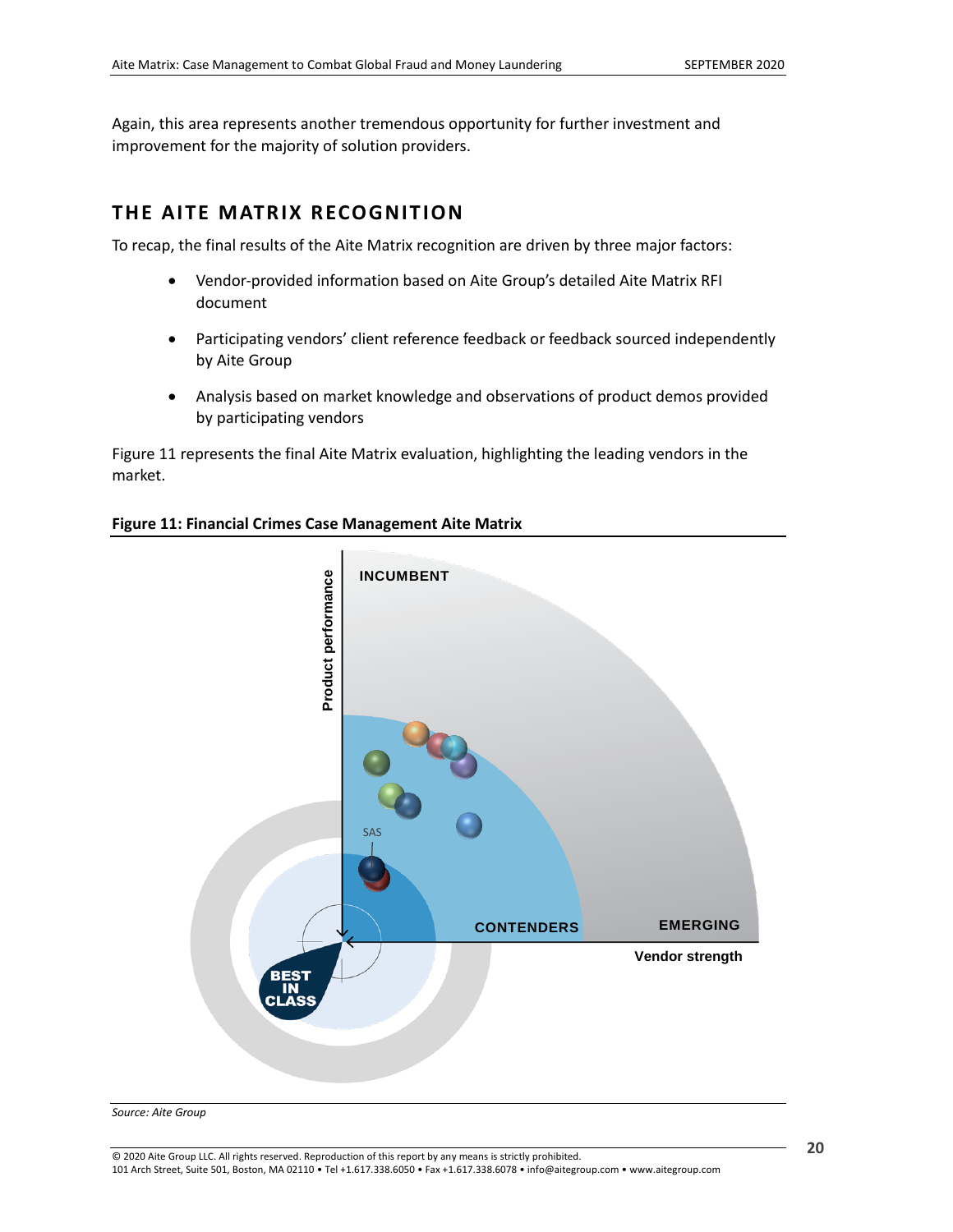Again, this area represents another tremendous opportunity for further investment and improvement for the majority of solution providers.

### <span id="page-19-0"></span>**THE AITE MATRIX RECOG NITION**

To recap, the final results of the Aite Matrix recognition are driven by three major factors:

- Vendor-provided information based on Aite Group's detailed Aite Matrix RFI document
- Participating vendors' client reference feedback or feedback sourced independently by Aite Group
- Analysis based on market knowledge and observations of product demos provided by participating vendors

[Figure 11](#page-19-1) represents the final Aite Matrix evaluation, highlighting the leading vendors in the market.



### <span id="page-19-1"></span>**Figure 11: Financial Crimes Case Management Aite Matrix**

*Source: Aite Group*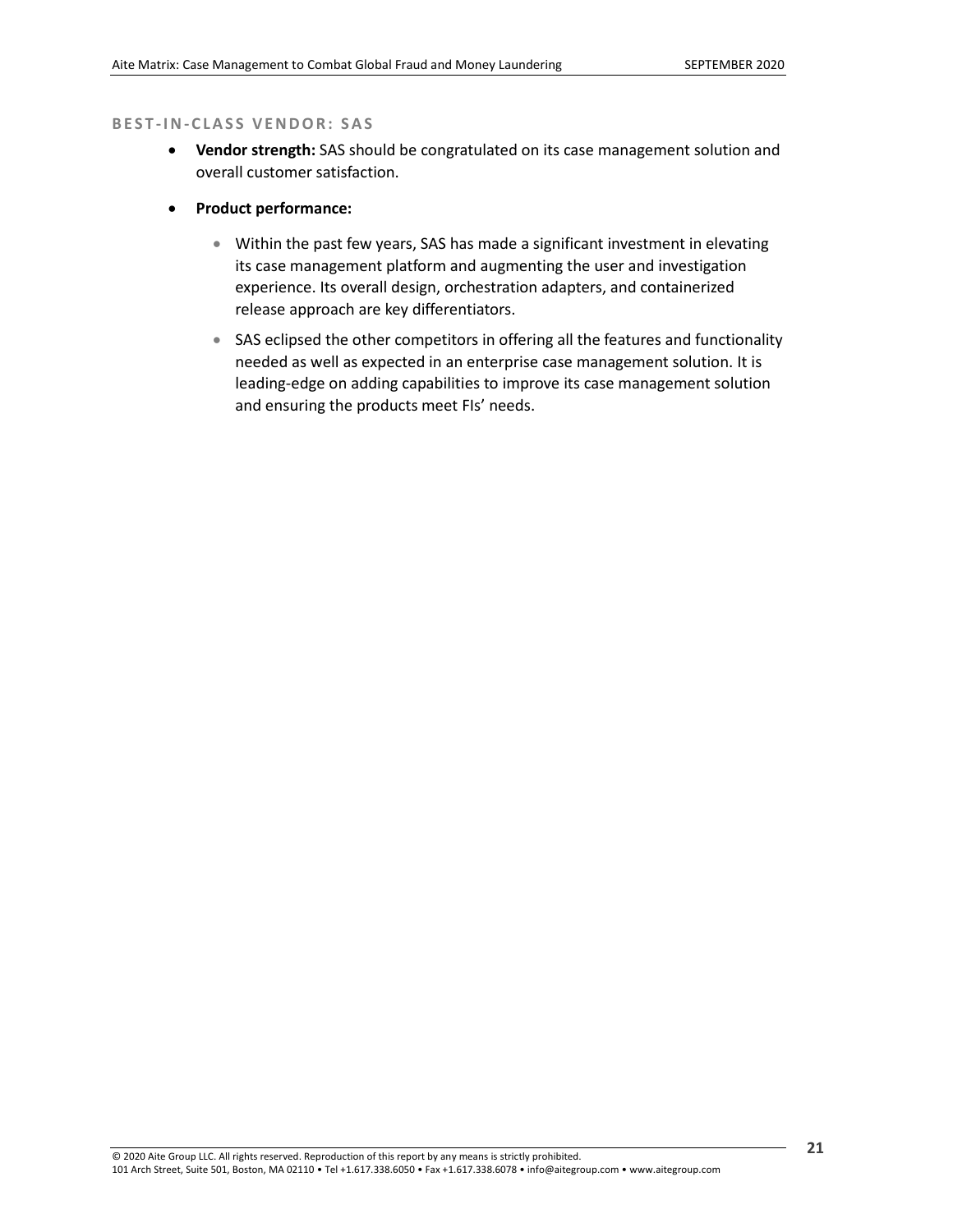#### **B E S T -I N-C L A S S V E N D O R : S A S**

- **Vendor strength:** SAS should be congratulated on its case management solution and overall customer satisfaction.
- **Product performance:**
	- Within the past few years, SAS has made a significant investment in elevating its case management platform and augmenting the user and investigation experience. Its overall design, orchestration adapters, and containerized release approach are key differentiators.
	- SAS eclipsed the other competitors in offering all the features and functionality needed as well as expected in an enterprise case management solution. It is leading-edge on adding capabilities to improve its case management solution and ensuring the products meet FIs' needs.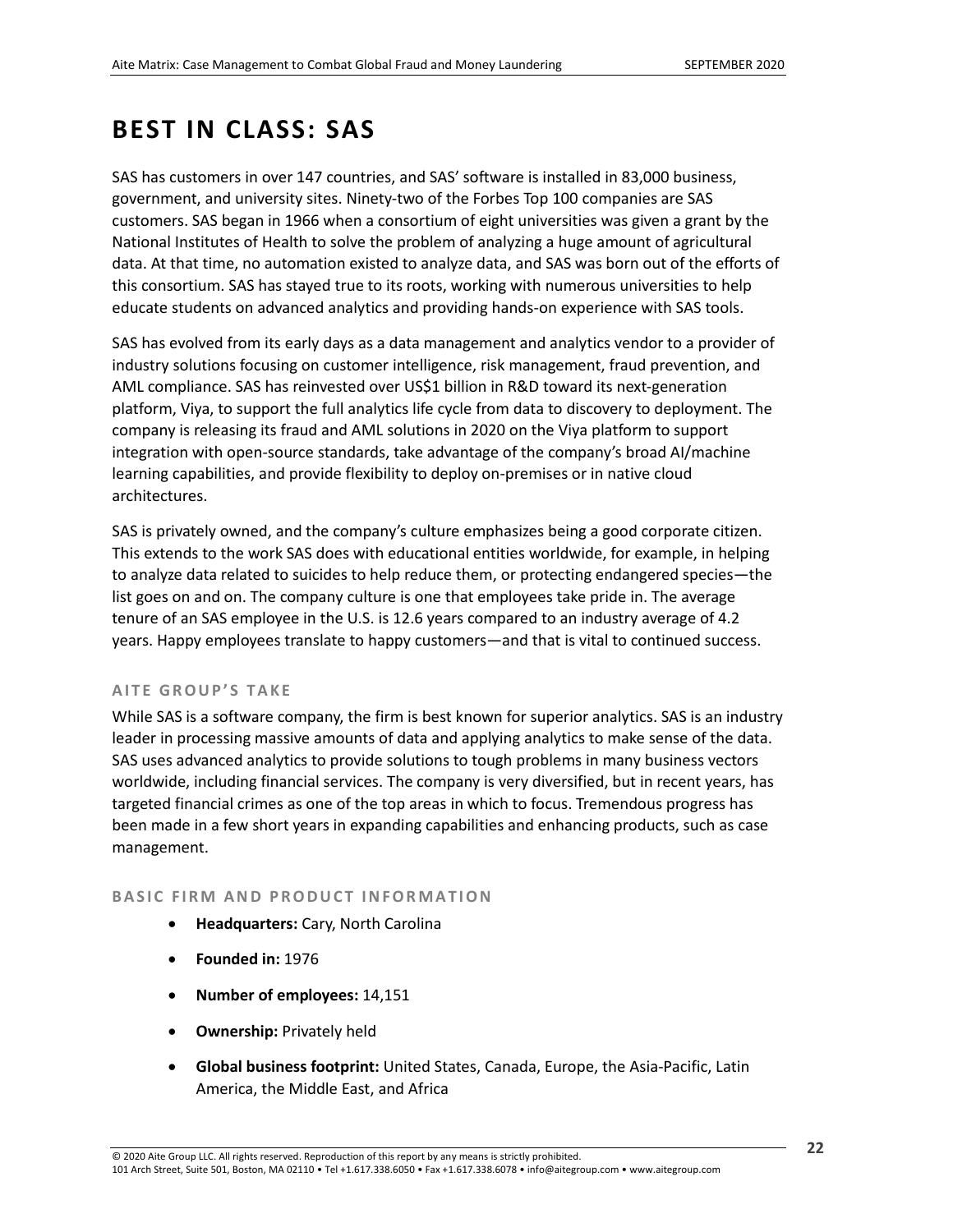## <span id="page-21-0"></span>**BEST IN CLASS: SAS**

SAS has customers in over 147 countries, and SAS' software is installed in 83,000 business, government, and university sites. Ninety-two of the Forbes Top 100 companies are SAS customers. SAS began in 1966 when a consortium of eight universities was given a grant by the National Institutes of Health to solve the problem of analyzing a huge amount of agricultural data. At that time, no automation existed to analyze data, and SAS was born out of the efforts of this consortium. SAS has stayed true to its roots, working with numerous universities to help educate students on advanced analytics and providing hands-on experience with SAS tools.

SAS has evolved from its early days as a data management and analytics vendor to a provider of industry solutions focusing on customer intelligence, risk management, fraud prevention, and AML compliance. SAS has reinvested over US\$1 billion in R&D toward its next-generation platform, Viya, to support the full analytics life cycle from data to discovery to deployment. The company is releasing its fraud and AML solutions in 2020 on the Viya platform to support integration with open-source standards, take advantage of the company's broad AI/machine learning capabilities, and provide flexibility to deploy on-premises or in native cloud architectures.

SAS is privately owned, and the company's culture emphasizes being a good corporate citizen. This extends to the work SAS does with educational entities worldwide, for example, in helping to analyze data related to suicides to help reduce them, or protecting endangered species—the list goes on and on. The company culture is one that employees take pride in. The average tenure of an SAS employee in the U.S. is 12.6 years compared to an industry average of 4.2 years. Happy employees translate to happy customers—and that is vital to continued success.

### **AITE GROUP'S TAKE**

While SAS is a software company, the firm is best known for superior analytics. SAS is an industry leader in processing massive amounts of data and applying analytics to make sense of the data. SAS uses advanced analytics to provide solutions to tough problems in many business vectors worldwide, including financial services. The company is very diversified, but in recent years, has targeted financial crimes as one of the top areas in which to focus. Tremendous progress has been made in a few short years in expanding capabilities and enhancing products, such as case management.

#### **BASIC FIRM AND PRODUCT INFORMATION**

- **Headquarters:** Cary, North Carolina
- **Founded in:** 1976
- **Number of employees:** 14,151
- **Ownership:** Privately held
- **Global business footprint:** United States, Canada, Europe, the Asia-Pacific, Latin America, the Middle East, and Africa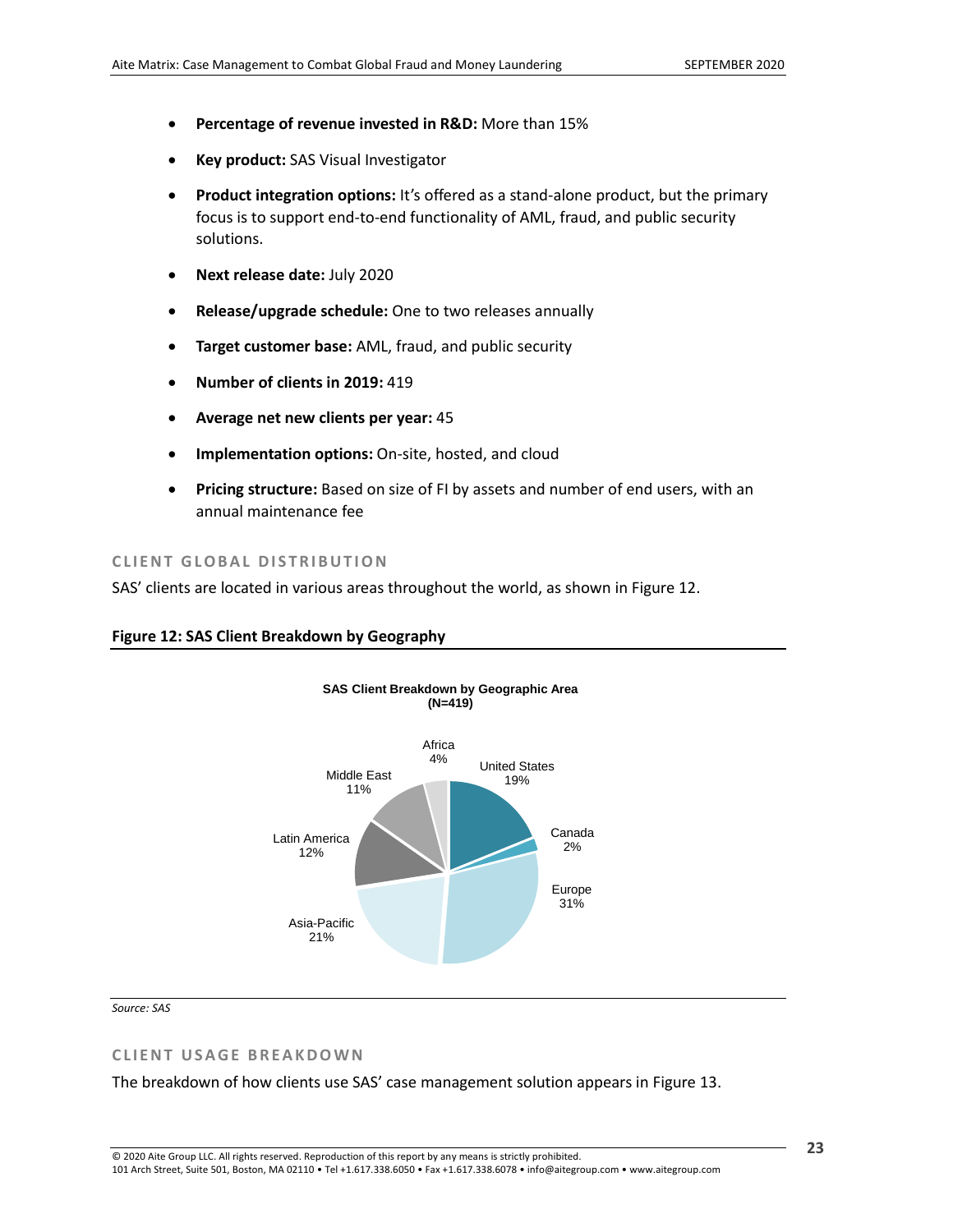- **Percentage of revenue invested in R&D:** More than 15%
- **Key product:** SAS Visual Investigator
- **Product integration options:** It's offered as a stand-alone product, but the primary focus is to support end-to-end functionality of AML, fraud, and public security solutions.
- **Next release date:** July 2020
- **Release/upgrade schedule:** One to two releases annually
- **Target customer base:** AML, fraud, and public security
- **Number of clients in 2019:** 419
- **Average net new clients per year:** 45
- **Implementation options:** On-site, hosted, and cloud
- **Pricing structure:** Based on size of FI by assets and number of end users, with an annual maintenance fee

### **CLIENT GLOBAL DISTRIBUTION**

SAS' clients are located in various areas throughout the world, as shown in [Figure 12.](#page-22-0)

#### <span id="page-22-0"></span>**Figure 12: SAS Client Breakdown by Geography**



*Source: SAS*

#### **CLIENT USAGE BREAKDOWN**

The breakdown of how clients use SAS' case management solution appears in [Figure 13.](#page-23-0)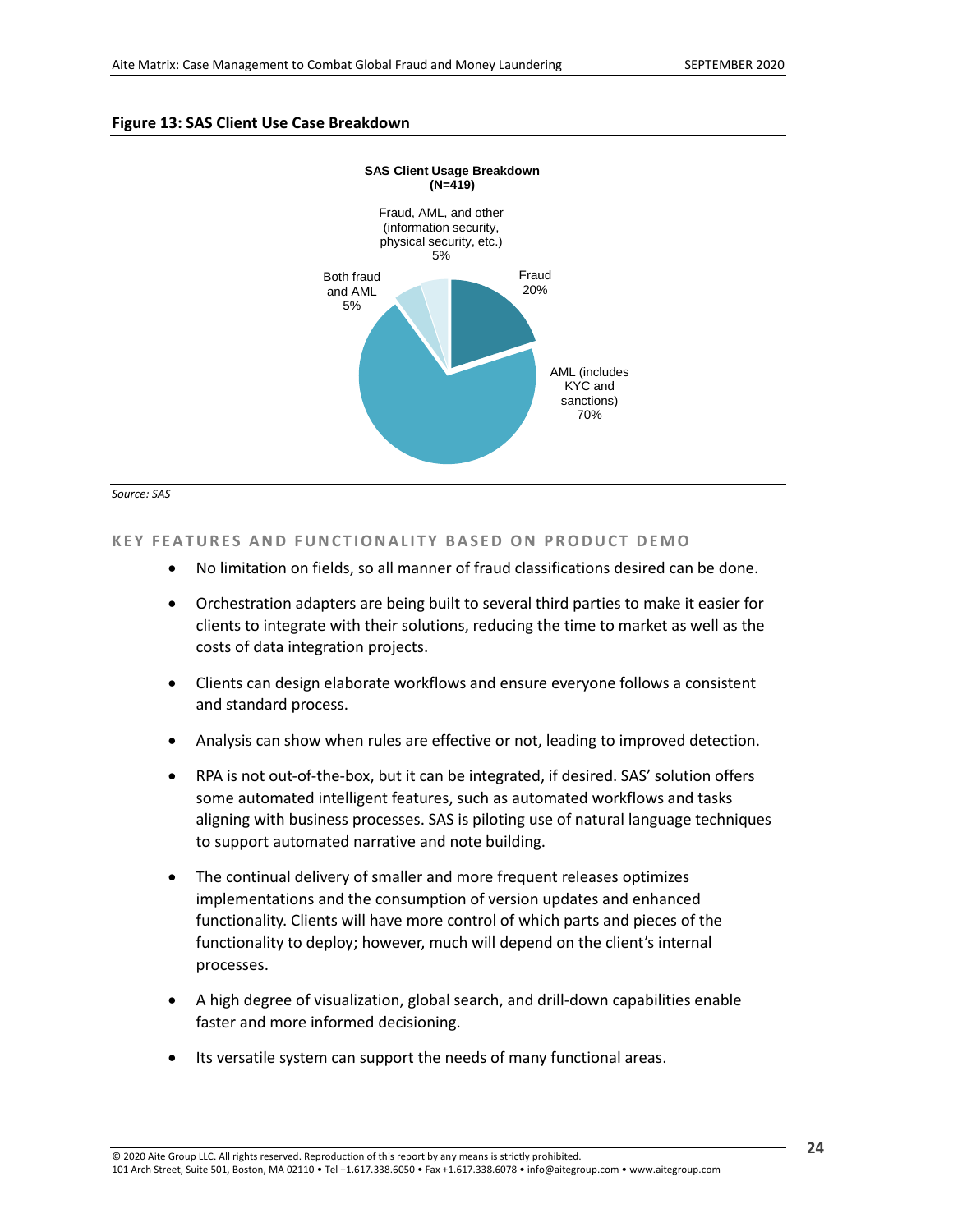#### <span id="page-23-0"></span>**Figure 13: SAS Client Use Case Breakdown**





### **KEY FEATURES AND FUNCTIONALITY BASED ON PRODUCT DEMO**

- No limitation on fields, so all manner of fraud classifications desired can be done.
- Orchestration adapters are being built to several third parties to make it easier for clients to integrate with their solutions, reducing the time to market as well as the costs of data integration projects.
- Clients can design elaborate workflows and ensure everyone follows a consistent and standard process.
- Analysis can show when rules are effective or not, leading to improved detection.
- RPA is not out-of-the-box, but it can be integrated, if desired. SAS' solution offers some automated intelligent features, such as automated workflows and tasks aligning with business processes. SAS is piloting use of natural language techniques to support automated narrative and note building.
- The continual delivery of smaller and more frequent releases optimizes implementations and the consumption of version updates and enhanced functionality. Clients will have more control of which parts and pieces of the functionality to deploy; however, much will depend on the client's internal processes.
- A high degree of visualization, global search, and drill-down capabilities enable faster and more informed decisioning.
- Its versatile system can support the needs of many functional areas.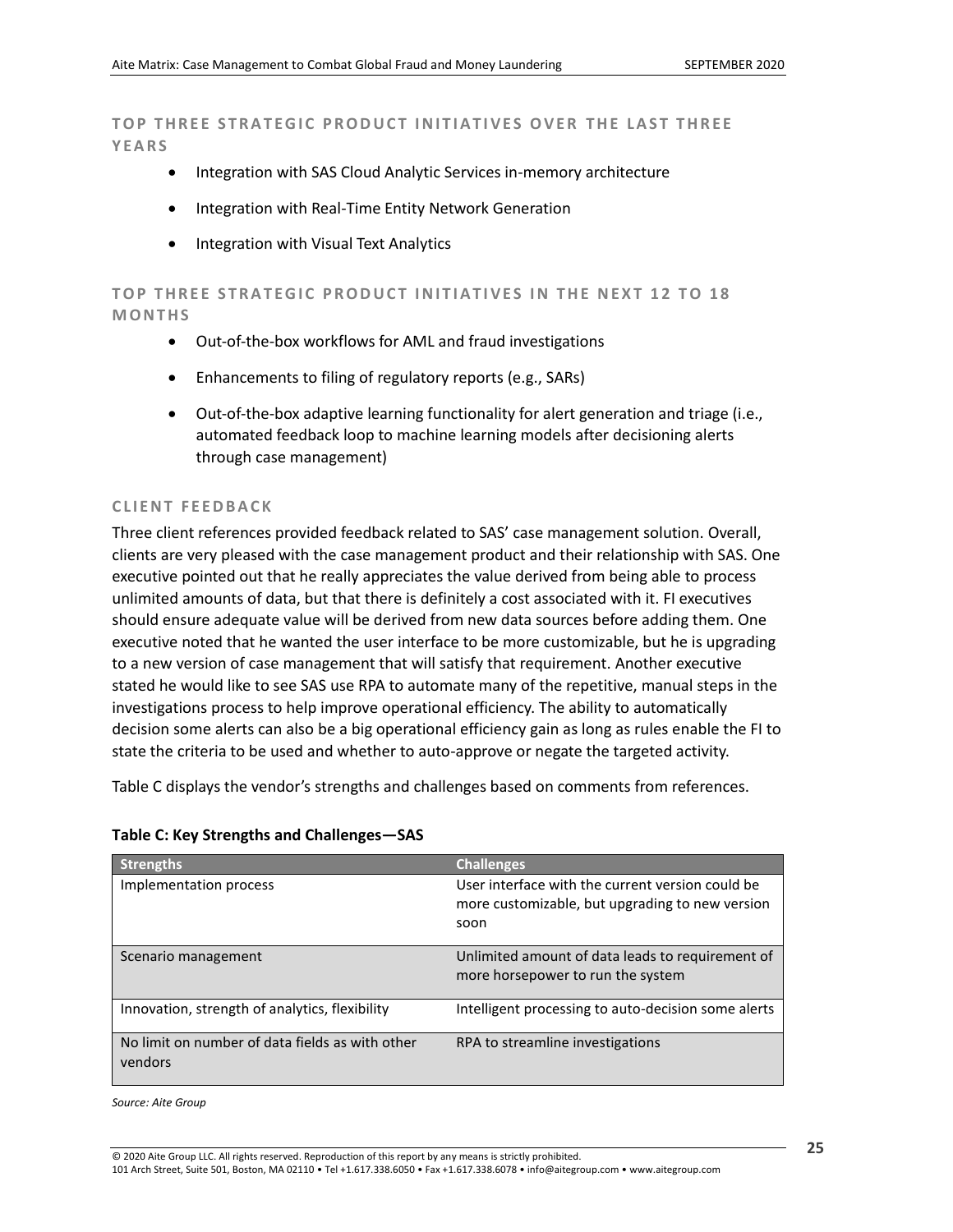**TOP THREE STRATEGIC PRODUCT INITIATIVES OVER THE LAST THREE Y E A R S**

- Integration with SAS Cloud Analytic Services in-memory architecture
- Integration with Real-Time Entity Network Generation
- Integration with Visual Text Analytics

TOP THREE STRATEGIC PRODUCT INITIATIVES IN THE NEXT 12 TO 18 **M O N T H S**

- Out-of-the-box workflows for AML and fraud investigations
- Enhancements to filing of regulatory reports (e.g., SARs)
- Out-of-the-box adaptive learning functionality for alert generation and triage (i.e., automated feedback loop to machine learning models after decisioning alerts through case management)

#### **CLIENT FEEDBACK**

Three client references provided feedback related to SAS' case management solution. Overall, clients are very pleased with the case management product and their relationship with SAS. One executive pointed out that he really appreciates the value derived from being able to process unlimited amounts of data, but that there is definitely a cost associated with it. FI executives should ensure adequate value will be derived from new data sources before adding them. One executive noted that he wanted the user interface to be more customizable, but he is upgrading to a new version of case management that will satisfy that requirement. Another executive stated he would like to see SAS use RPA to automate many of the repetitive, manual steps in the investigations process to help improve operational efficiency. The ability to automatically decision some alerts can also be a big operational efficiency gain as long as rules enable the FI to state the criteria to be used and whether to auto-approve or negate the targeted activity.

[Table C](#page-24-0) displays the vendor's strengths and challenges based on comments from references.

#### <span id="page-24-0"></span>**Table C: Key Strengths and Challenges—SAS**

| <b>Strengths</b>                                           | <b>Challenges</b>                                                                                           |
|------------------------------------------------------------|-------------------------------------------------------------------------------------------------------------|
| Implementation process                                     | User interface with the current version could be<br>more customizable, but upgrading to new version<br>soon |
| Scenario management                                        | Unlimited amount of data leads to requirement of<br>more horsepower to run the system                       |
| Innovation, strength of analytics, flexibility             | Intelligent processing to auto-decision some alerts                                                         |
| No limit on number of data fields as with other<br>vendors | RPA to streamline investigations                                                                            |

*Source: Aite Group*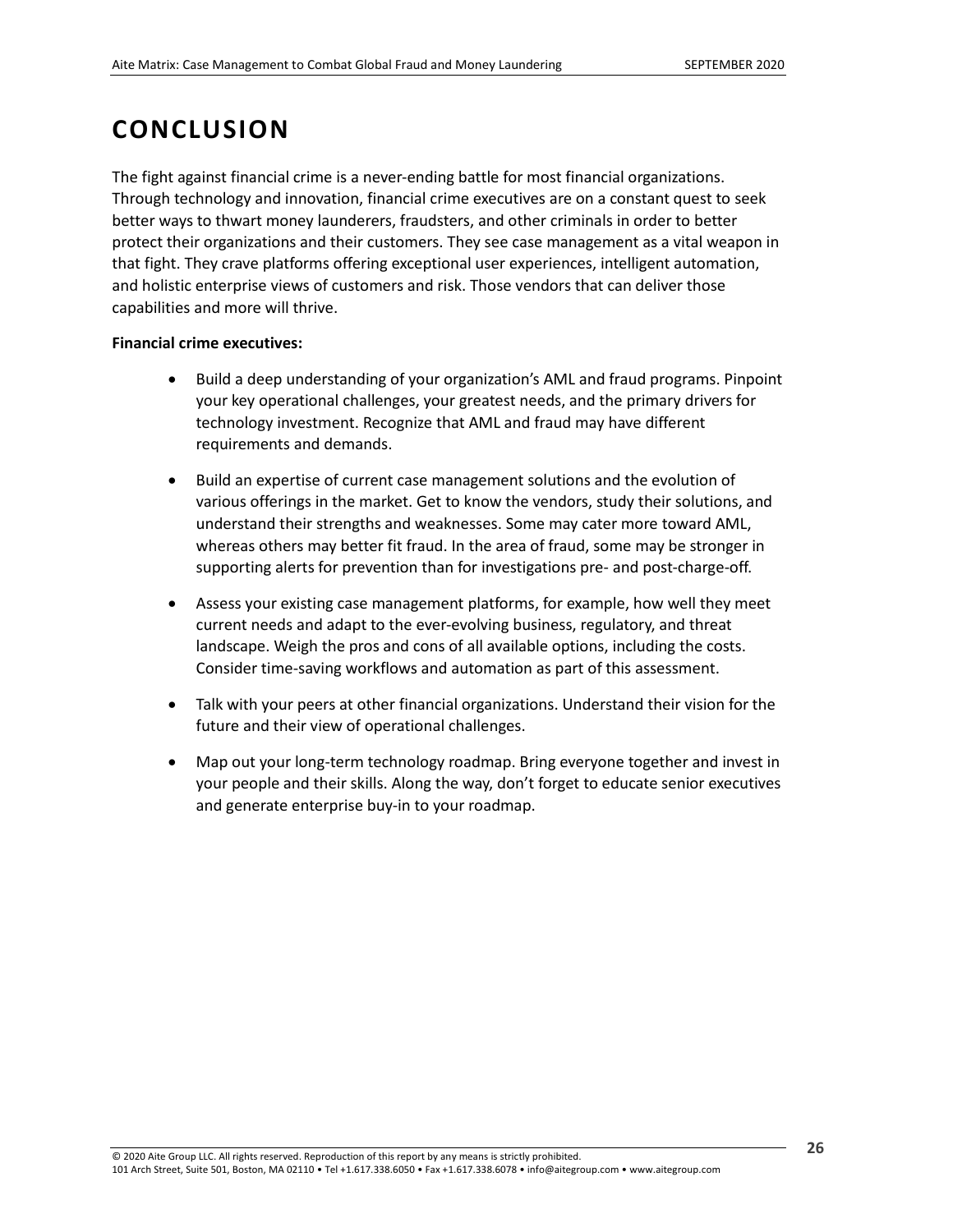## <span id="page-25-0"></span>**CONCLUSION**

The fight against financial crime is a never-ending battle for most financial organizations. Through technology and innovation, financial crime executives are on a constant quest to seek better ways to thwart money launderers, fraudsters, and other criminals in order to better protect their organizations and their customers. They see case management as a vital weapon in that fight. They crave platforms offering exceptional user experiences, intelligent automation, and holistic enterprise views of customers and risk. Those vendors that can deliver those capabilities and more will thrive.

### **Financial crime executives:**

- Build a deep understanding of your organization's AML and fraud programs. Pinpoint your key operational challenges, your greatest needs, and the primary drivers for technology investment. Recognize that AML and fraud may have different requirements and demands.
- Build an expertise of current case management solutions and the evolution of various offerings in the market. Get to know the vendors, study their solutions, and understand their strengths and weaknesses. Some may cater more toward AML, whereas others may better fit fraud. In the area of fraud, some may be stronger in supporting alerts for prevention than for investigations pre- and post-charge-off.
- Assess your existing case management platforms, for example, how well they meet current needs and adapt to the ever-evolving business, regulatory, and threat landscape. Weigh the pros and cons of all available options, including the costs. Consider time-saving workflows and automation as part of this assessment.
- Talk with your peers at other financial organizations. Understand their vision for the future and their view of operational challenges.
- Map out your long-term technology roadmap. Bring everyone together and invest in your people and their skills. Along the way, don't forget to educate senior executives and generate enterprise buy-in to your roadmap.